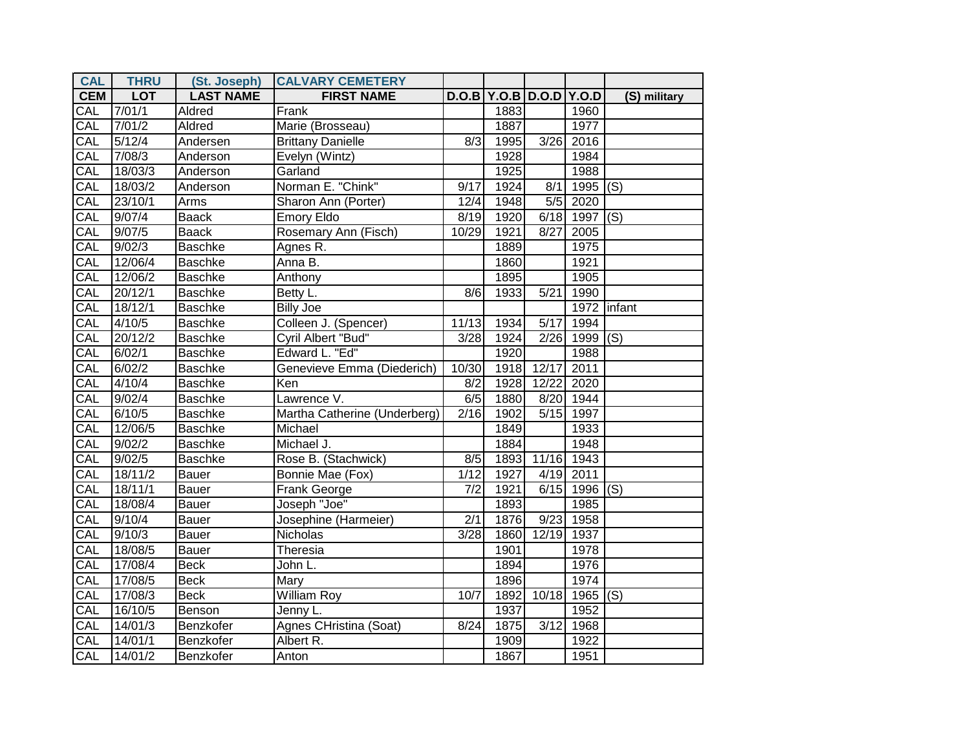| <b>CAL</b> | <b>THRU</b>        | (St. Joseph)     | <b>CALVARY CEMETERY</b>      |                  |                               |                   |                 |              |
|------------|--------------------|------------------|------------------------------|------------------|-------------------------------|-------------------|-----------------|--------------|
| <b>CEM</b> | <b>LOT</b>         | <b>LAST NAME</b> | <b>FIRST NAME</b>            |                  | D.O.B   Y.O.B   D.O.D   Y.O.D |                   |                 | (S) military |
| CAL        | 7/01/1             | Aldred           | Frank                        |                  | 1883                          |                   | 1960            |              |
| CAL        | 7/01/2             | Aldred           | Marie (Brosseau)             |                  | 1887                          |                   | 1977            |              |
| CAL        | 5/12/4             | Andersen         | <b>Brittany Danielle</b>     | 8/3              | 1995                          | 3/26              | 2016            |              |
| CAL        | 7/08/3             | Anderson         | Evelyn (Wintz)               |                  | 1928                          |                   | 1984            |              |
| CAL        | 18/03/3            | Anderson         | Garland                      |                  | 1925                          |                   | 1988            |              |
| CAL        | 18/03/2            | Anderson         | Norman E. "Chink"            | 9/17             | 1924                          | 8/1               | $1995$ (S)      |              |
| CAL        | 23/10/1            | Arms             | Sharon Ann (Porter)          | 12/4             | 1948                          | 5/5               | 2020            |              |
| CAL        | 9/07/4             | <b>Baack</b>     | <b>Emory Eldo</b>            | 8/19             | 1920                          |                   | $6/18$ 1997 (S) |              |
| CAL        | 9/07/5             | <b>Baack</b>     | Rosemary Ann (Fisch)         | 10/29            | 1921                          | 8/27              | 2005            |              |
| CAL        | 9/02/3             | <b>Baschke</b>   | Agnes R.                     |                  | 1889                          |                   | 1975            |              |
| CAL        | 12/06/4            | Baschke          | Anna B.                      |                  | 1860                          |                   | 1921            |              |
| CAL        | 12/06/2            | Baschke          | Anthony                      |                  | 1895                          |                   | 1905            |              |
| CAL        | 20/12/1            | <b>Baschke</b>   | Betty L.                     | 8/6              | 1933                          | 5/21              | 1990            |              |
| <b>CAL</b> | 18/12/1            | <b>Baschke</b>   | <b>Billy Joe</b>             |                  |                               |                   | 1972            | linfant      |
| CAL        | 4/10/5             | Baschke          | Colleen J. (Spencer)         | 11/13            | 1934                          | 5/17              | 1994            |              |
| CAL        | 20/12/2            | Baschke          | Cyril Albert "Bud"           | 3/28             | 1924                          |                   | $2/26$ 1999 (S) |              |
| CAL        | 6/02/1             | Baschke          | Edward L. "Ed"               |                  | 1920                          |                   | 1988            |              |
| CAL        | 6/02/2             | <b>Baschke</b>   | Genevieve Emma (Diederich)   | 10/30            | 1918                          | 12/17             | 2011            |              |
| CAL        | 4/10/4             | <b>Baschke</b>   | Ken                          | 8/2              | 1928                          | 12/22             | 2020            |              |
| CAL        | 9/02/4             | Baschke          | Lawrence V.                  | 6/5              | 1880                          | 8/20              | 1944            |              |
| CAL        | 6/10/5             | Baschke          | Martha Catherine (Underberg) | $\sqrt{2/16}$    | 1902                          | $\overline{5/15}$ | 1997            |              |
| CAL        | 12/06/5            | Baschke          | Michael                      |                  | 1849                          |                   | 1933            |              |
| CAL        | 9/02/2             | <b>Baschke</b>   | Michael J.                   |                  | 1884                          |                   | 1948            |              |
| CAL        | 9/02/5             | <b>Baschke</b>   | Rose B. (Stachwick)          | 8/5              | 1893                          | 11/16             | 1943            |              |
| CAL        | 18/11/2            | <b>Bauer</b>     | Bonnie Mae (Fox)             | 1/12             | 1927                          |                   | 4/19 2011       |              |
| CAL        | 18/11/1            | Bauer            | Frank George                 | $\overline{7/2}$ | 1921                          |                   | 6/15 1996       | (S)          |
| CAL        | 18/08/4            | Bauer            | Joseph "Joe"                 |                  | 1893                          |                   | 1985            |              |
| CAL        | 9/10/4             | Bauer            | Josephine (Harmeier)         | 2/1              | 1876                          | 9/23              | 1958            |              |
| CAL        | 9/10/3             | Bauer            | <b>Nicholas</b>              | 3/28             | 1860                          | 12/19             | 1937            |              |
| CAL        | 18/08/5            | Bauer            | Theresia                     |                  | 1901                          |                   | 1978            |              |
| CAL        | 17/08/4            | <b>Beck</b>      | John L.                      |                  | 1894                          |                   | 1976            |              |
| CAL        | 17/08/5            | <b>Beck</b>      | Mary                         |                  | 1896                          |                   | 1974            |              |
| CAL        | 17/08/3            | <b>Beck</b>      | <b>William Roy</b>           | 10/7             | 1892                          | 10/18             | 1965 $(S)$      |              |
| CAL        | 16/10/5            | Benson           | Jenny L.                     |                  | 1937                          |                   | 1952            |              |
| CAL        | 14/01/3            | Benzkofer        | Agnes CHristina (Soat)       | 8/24             | 1875                          | $\overline{3/12}$ | 1968            |              |
| CAL        | 14/01/1            | Benzkofer        | Albert R.                    |                  | 1909                          |                   | 1922            |              |
| CAL        | $\frac{1}{4}/01/2$ | Benzkofer        | Anton                        |                  | 1867                          |                   | 1951            |              |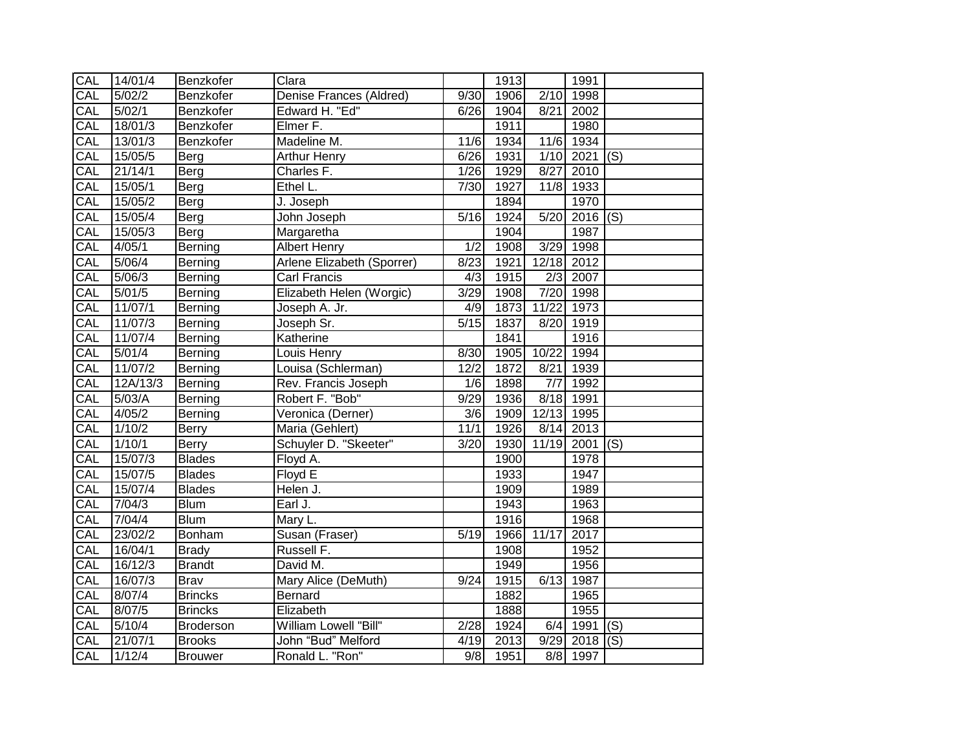| CAL        | 14/01/4              | Benzkofer        | Clara                      |                   | 1913 |                  | 1991                  |     |
|------------|----------------------|------------------|----------------------------|-------------------|------|------------------|-----------------------|-----|
| CAL        | 5/02/2               | Benzkofer        | Denise Frances (Aldred)    | $\overline{9}/30$ | 1906 | 2/10             | 1998                  |     |
| CAL        | 5/02/1               | Benzkofer        | Edward H. "Ed"             | 6/26              | 1904 | 8/21             | 2002                  |     |
| CAL        | 18/01/3              | Benzkofer        | Elmer F.                   |                   | 1911 |                  | 1980                  |     |
| CAL        | 13/01/3              | Benzkofer        | Madeline M.                | $\frac{11}{6}$    | 1934 | 11/6             | 1934                  |     |
| CAL        | 15/05/5              | Berg             | <b>Arthur Henry</b>        | 6/26              | 1931 |                  | 1/10 2021             | (S) |
| <b>CAL</b> | 21/14/1              | Berg             | Charles F.                 | 1/26              | 1929 | 8/27             | 2010                  |     |
| CAL        | 15/05/1              | Berg             | Ethel L.                   | 7/30              | 1927 | $11\overline{8}$ | 1933                  |     |
| CAL        | 15/05/2              | <b>Berg</b>      | J. Joseph                  |                   | 1894 |                  | 1970                  |     |
| CAL        | 15/05/4              | Berg             | John Joseph                | 5/16              | 1924 | 5/20             | $\overline{2016}$ (S) |     |
| CAL        | 15/05/3              | Berg             | Margaretha                 |                   | 1904 |                  | 1987                  |     |
| CAL        | 4/05/1               | Berning          | <b>Albert Henry</b>        | 1/2               | 1908 | 3/29             | 1998                  |     |
| CAL        | 5/06/4               | Berning          | Arlene Elizabeth (Sporrer) | 8/23              | 1921 | 12/18            | 2012                  |     |
| CAL        | 5/06/3               | Berning          | Carl Francis               | $\overline{4/3}$  | 1915 | 2/3              | 2007                  |     |
| CAL        | 5/01/5               | Berning          | Elizabeth Helen (Worgic)   | 3/29              | 1908 | 7/20             | 1998                  |     |
| CAL        | 11/07/1              | Berning          | Joseph A. Jr.              | 4/9               | 1873 | 11/22            | 1973                  |     |
| CAL        | 11/07/3              | Berning          | Joseph Sr.                 | 5/15              | 1837 | 8/20             | 1919                  |     |
| CAL        | 11/07/4              | Berning          | Katherine                  |                   | 1841 |                  | 1916                  |     |
| CAL        | 5/01/4               | Berning          | Louis Henry                | 8/30              | 1905 | 10/22            | 1994                  |     |
| CAL        | 11/07/2              | Berning          | Louisa (Schlerman)         | 12/2              | 1872 | 8/21             | 1939                  |     |
| CAL        | 12A/13/3             | Berning          | Rev. Francis Joseph        | 1/6               | 1898 | $\overline{7/7}$ | 1992                  |     |
| CAL        | 5/03/A               | Berning          | Robert F. "Bob"            | 9/29              | 1936 | 8/18             | 1991                  |     |
| CAL        | 4/05/2               | Berning          | Veronica (Derner)          | 3/6               | 1909 | 12/13            | 1995                  |     |
| CAL        | 1/10/2               | Berry            | Maria (Gehlert)            | $\overline{11}/1$ | 1926 | 8/14             | 2013                  |     |
| CAL        | 1/10/1               | <b>Berry</b>     | Schuyler D. "Skeeter"      | 3/20              | 1930 | 11/19            | 2001                  | (S) |
| CAL        | 15/07/3              | <b>Blades</b>    | Floyd A.                   |                   | 1900 |                  | 1978                  |     |
| CAL        | 15/07/5              | <b>Blades</b>    | Floyd E                    |                   | 1933 |                  | 1947                  |     |
| CAL        | 15/07/4              | <b>Blades</b>    | Helen J.                   |                   | 1909 |                  | 1989                  |     |
| CAL        | 7/04/3               | <b>Blum</b>      | Earl J.                    |                   | 1943 |                  | 1963                  |     |
| CAL        | 7/04/4               | <b>Blum</b>      | Mary L.                    |                   | 1916 |                  | 1968                  |     |
| CAL        | 23/02/2              | <b>Bonham</b>    | Susan (Fraser)             | 5/19              | 1966 | 11/17            | 2017                  |     |
| CAL        | 16/04/1              | <b>Brady</b>     | Russell F.                 |                   | 1908 |                  | 1952                  |     |
| CAL        | 16/12/3              | <b>Brandt</b>    | David M.                   |                   | 1949 |                  | 1956                  |     |
| CAL        | 16/07/3              | Brav             | Mary Alice (DeMuth)        | 9/24              | 1915 | 6/13             | 1987                  |     |
| CAL        | 8/07/4               | <b>Brincks</b>   | Bernard                    |                   | 1882 |                  | 1965                  |     |
| CAL        | $8\sqrt{07/5}$       | <b>Brincks</b>   | Elizabeth                  |                   | 1888 |                  | 1955                  |     |
| CAL        | 5/10/4               | <b>Broderson</b> | William Lowell "Bill"      | 2/28              | 1924 | 6/4              | 1991                  | (S) |
| CAL        | $\overline{21/07/1}$ | <b>Brooks</b>    | John "Bud" Melford         | 4/19              | 2013 | 9/29             | 2018                  | (S) |
| CAL        | 1/12/4               | <b>Brouwer</b>   | Ronald L. "Ron"            | 9/8               | 1951 |                  | 8/8 1997              |     |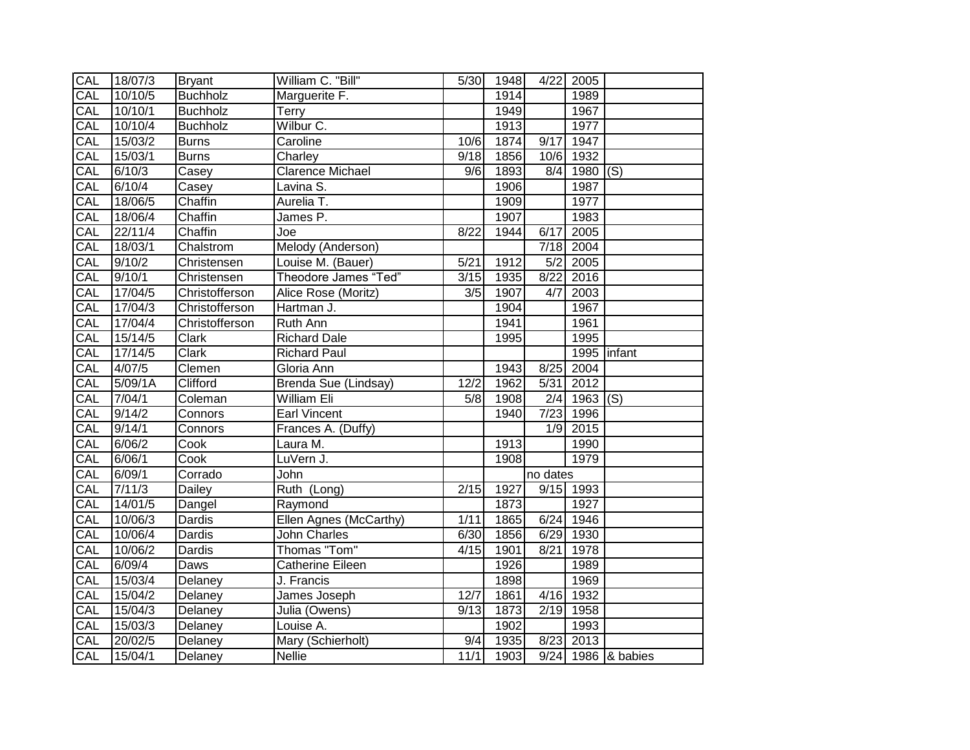| CAL        | 18/07/3            | <b>Bryant</b>   | William C. "Bill"      | 5/30 | 1948 | 4/22     | 2005                   |                                 |
|------------|--------------------|-----------------|------------------------|------|------|----------|------------------------|---------------------------------|
| CAL        | 10/10/5            | <b>Buchholz</b> | Marguerite F.          |      | 1914 |          | 1989                   |                                 |
| CAL        | 10/10/1            | <b>Buchholz</b> | Terry                  |      | 1949 |          | 1967                   |                                 |
| CAL        | 10/10/4            | <b>Buchholz</b> | Wilbur C.              |      | 1913 |          | 1977                   |                                 |
| CAL        | 15/03/2            | <b>Burns</b>    | Caroline               | 10/6 | 1874 | 9/17     | 1947                   |                                 |
| CAL        | 15/03/1            | <b>Burns</b>    | Charley                | 9/18 | 1856 |          | 10/6 1932              |                                 |
| CAL        | 6/10/3             | Casey           | Clarence Michael       | 9/6  | 1893 |          | $8/4$ 1980 (S)         |                                 |
| CAL        | $\frac{6}{10/4}$   | Casey           | Lavina S.              |      | 1906 |          | 1987                   |                                 |
| <b>CAL</b> | 18/06/5            | Chaffin         | Aurelia T.             |      | 1909 |          | 1977                   |                                 |
| CAL        | 18/06/4            | Chaffin         | James P.               |      | 1907 |          | 1983                   |                                 |
| CAL        | 22/11/4            | Chaffin         | Joe                    | 8/22 | 1944 | 6/17     | 2005                   |                                 |
| <b>CAL</b> | 18/03/1            | Chalstrom       | Melody (Anderson)      |      |      |          | 7/18 2004              |                                 |
| CAL        | 9/10/2             | Christensen     | Louise M. (Bauer)      | 5/21 | 1912 | 5/2      | 2005                   |                                 |
| CAL        | $\frac{1}{9/10/1}$ | Christensen     | Theodore James "Ted"   | 3/15 | 1935 | 8/22     | 2016                   |                                 |
| CAL        | 17/04/5            | Christofferson  | Alice Rose (Moritz)    | 3/5  | 1907 | 4/7      | 2003                   |                                 |
| CAL        | 17/04/3            | Christofferson  | Hartman J.             |      | 1904 |          | 1967                   |                                 |
| CAL        | 17/04/4            | Christofferson  | Ruth Ann               |      | 1941 |          | 1961                   |                                 |
| CAL        | 15/14/5            | Clark           | <b>Richard Dale</b>    |      | 1995 |          | 1995                   |                                 |
| CAL        | 17/14/5            | <b>Clark</b>    | <b>Richard Paul</b>    |      |      |          |                        | 1995 infant                     |
| CAL        | 4/07/5             | Clemen          | Gloria Ann             |      | 1943 | 8/25     | 2004                   |                                 |
| CAL        | 5/09/1A            | Clifford        | Brenda Sue (Lindsay)   | 12/2 | 1962 | 5/31     | 2012                   |                                 |
| CAL        | 7/04/1             | Coleman         | <b>William Eli</b>     | 5/8  | 1908 | 2/4      | $1963$ (S)             |                                 |
| CAL        | 9/14/2             | Connors         | <b>Earl Vincent</b>    |      | 1940 |          | $\overline{7/23}$ 1996 |                                 |
| CAL        | 9/14/1             | Connors         | Frances A. (Duffy)     |      |      | 1/9      | 2015                   |                                 |
| CAL        | 6/06/2             | Cook            | Laura M.               |      | 1913 |          | 1990                   |                                 |
| CAL        | 6/06/1             | Cook            | LuVern J.              |      | 1908 |          | 1979                   |                                 |
| CAL        | 6/09/1             | Corrado         | John                   |      |      | no dates |                        |                                 |
| CAL        | 7/11/3             | Dailey          | Ruth (Long)            | 2/15 | 1927 |          | $9/15$ 1993            |                                 |
| CAL        | 14/01/5            | Dangel          | Raymond                |      | 1873 |          | 1927                   |                                 |
| CAL        | 10/06/3            | Dardis          | Ellen Agnes (McCarthy) | 1/11 | 1865 | 6/24     | 1946                   |                                 |
| <b>CAL</b> | 10/06/4            | <b>Dardis</b>   | John Charles           | 6/30 | 1856 | 6/29     | 1930                   |                                 |
| CAL        | 10/06/2            | Dardis          | Thomas "Tom"           | 4/15 | 1901 | 8/21     | 1978                   |                                 |
| CAL        | 6/09/4             | Daws            | Catherine Eileen       |      | 1926 |          | 1989                   |                                 |
| CAL        | 15/03/4            | Delaney         | J. Francis             |      | 1898 |          | 1969                   |                                 |
| CAL        | 15/04/2            | Delaney         | James Joseph           | 12/7 | 1861 |          | 4/16 1932              |                                 |
| CAL        | 15/04/3            | Delaney         | Julia (Owens)          | 9/13 | 1873 | 2/19     | 1958                   |                                 |
| CAL        | 15/03/3            | Delaney         | Louise A.              |      | 1902 |          | 1993                   |                                 |
| CAL        | 20/02/5            | Delaney         | Mary (Schierholt)      | 9/4  | 1935 | 8/23     | 2013                   |                                 |
| <b>CAL</b> | 15/04/1            | Delaney         | <b>Nellie</b>          | 11/1 | 1903 |          |                        | $\overline{9/24}$ 1986 & babies |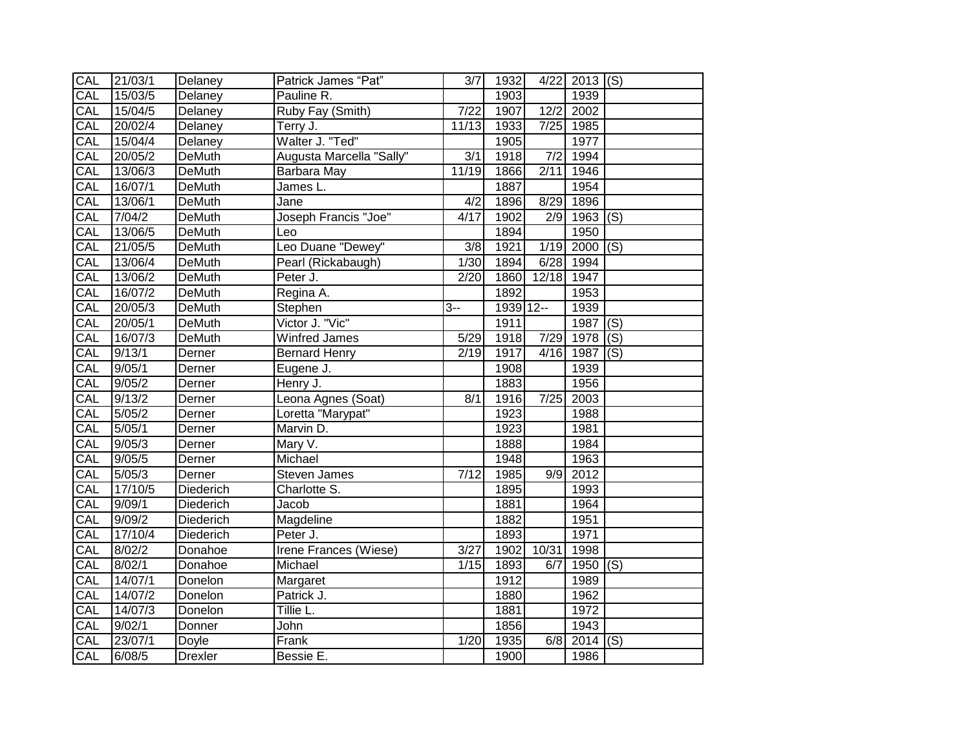| CAL | 21/03/1 | Delaney        | Patrick James "Pat"      | $\overline{3/7}$  | 1932      | 4/22             | $2013$ (S)   |                |
|-----|---------|----------------|--------------------------|-------------------|-----------|------------------|--------------|----------------|
| CAL | 15/03/5 | Delaney        | Pauline R.               |                   | 1903      |                  | 1939         |                |
| CAL | 15/04/5 | Delaney        | Ruby Fay (Smith)         | 7/22              | 1907      | 12/2             | 2002         |                |
| CAL | 20/02/4 | Delaney        | Terry J.                 | 11/13             | 1933      |                  | 7/25 1985    |                |
| CAL | 15/04/4 | Delaney        | Walter J. "Ted"          |                   | 1905      |                  | 1977         |                |
| CAL | 20/05/2 | <b>DeMuth</b>  | Augusta Marcella "Sally" | $\overline{3/1}$  | 1918      | $\overline{7/2}$ | 1994         |                |
| CAL | 13/06/3 | <b>DeMuth</b>  | Barbara May              | 11/19             | 1866      | 2/11             | 1946         |                |
| CAL | 16/07/1 | <b>DeMuth</b>  | James L.                 |                   | 1887      |                  | 1954         |                |
| CAL | 13/06/1 | <b>DeMuth</b>  | Jane                     | 4/2               | 1896      | 8/29             | 1896         |                |
| CAL | 7/04/2  | <b>DeMuth</b>  | Joseph Francis "Joe"     | 4/17              | 1902      | 2/9              | $1963$ (S)   |                |
| CAL | 13/06/5 | <b>DeMuth</b>  | Leo                      |                   | 1894      |                  | 1950         |                |
| CAL | 21/05/5 | <b>DeMuth</b>  | Leo Duane "Dewey"        | 3/8               | 1921      | 1/19             | $2000$ (S)   |                |
| CAL | 13/06/4 | <b>DeMuth</b>  | Pearl (Rickabaugh)       | 1/30              | 1894      | 6/28             | 1994         |                |
| CAL | 13/06/2 | <b>DeMuth</b>  | Peter J.                 | 2/20              | 1860      | 12/18            | 1947         |                |
| CAL | 16/07/2 | <b>DeMuth</b>  | Regina A.                |                   | 1892      |                  | 1953         |                |
| CAL | 20/05/3 | <b>DeMuth</b>  | Stephen                  | $3 -$             | 1939 12-- |                  | 1939         |                |
| CAL | 20/05/1 | <b>DeMuth</b>  | Victor J. "Vic"          |                   | 1911      |                  | 1987         | $\overline{S}$ |
| CAL | 16/07/3 | <b>DeMuth</b>  | <b>Winfred James</b>     | 5/29              | 1918      | 7/29             | 1978         | $\overline{S}$ |
| CAL | 9/13/1  | Derner         | <b>Bernard Henry</b>     | 2/19              | 1917      | 4/16             | 1987         | $\overline{S}$ |
| CAL | 9/05/1  | Derner         | Eugene J.                |                   | 1908      |                  | 1939         |                |
| CAL | 9/05/2  | Derner         | Henry J.                 |                   | 1883      |                  | 1956         |                |
| CAL | 9/13/2  | Derner         | Leona Agnes (Soat)       | 8/1               | 1916      | 7/25             | 2003         |                |
| CAL | 5/05/2  | Derner         | Loretta "Marypat"        |                   | 1923      |                  | 1988         |                |
| CAL | 5/05/1  | Derner         | Marvin D.                |                   | 1923      |                  | 1981         |                |
| CAL | 9/05/3  | Derner         | Mary V.                  |                   | 1888      |                  | 1984         |                |
| CAL | 9/05/5  | Derner         | Michael                  |                   | 1948      |                  | 1963         |                |
| CAL | 5/05/3  | Derner         | <b>Steven James</b>      | $\overline{7/12}$ | 1985      | 9/9              | 2012         |                |
| CAL | 17/10/5 | Diederich      | Charlotte S.             |                   | 1895      |                  | 1993         |                |
| CAL | 9/09/1  | Diederich      | Jacob                    |                   | 1881      |                  | 1964         |                |
| CAL | 9/09/2  | Diederich      | Magdeline                |                   | 1882      |                  | 1951         |                |
| CAL | 17/10/4 | Diederich      | Peter J.                 |                   | 1893      |                  | 1971         |                |
| CAL | 8/02/2  | Donahoe        | Irene Frances (Wiese)    | $\overline{3}/27$ | 1902      | 10/31            | 1998         |                |
| CAL | 8/02/1  | Donahoe        | Michael                  | 1/15              | 1893      | 6/7              | 1950 $ $ (S) |                |
| CAL | 14/07/1 | Donelon        | Margaret                 |                   | 1912      |                  | 1989         |                |
| CAL | 14/07/2 | Donelon        | Patrick J.               |                   | 1880      |                  | 1962         |                |
| CAL | 14/07/3 | Donelon        | Tillie L.                |                   | 1881      |                  | 1972         |                |
| CAL | 9/02/1  | Donner         | John                     |                   | 1856      |                  | 1943         |                |
| CAL | 23/07/1 | Doyle          | Frank                    | 1/20              | 1935      | 6/8              | 2014         | $ $ (S)        |
| CAL | 6/08/5  | <b>Drexler</b> | Bessie E.                |                   | 1900      |                  | 1986         |                |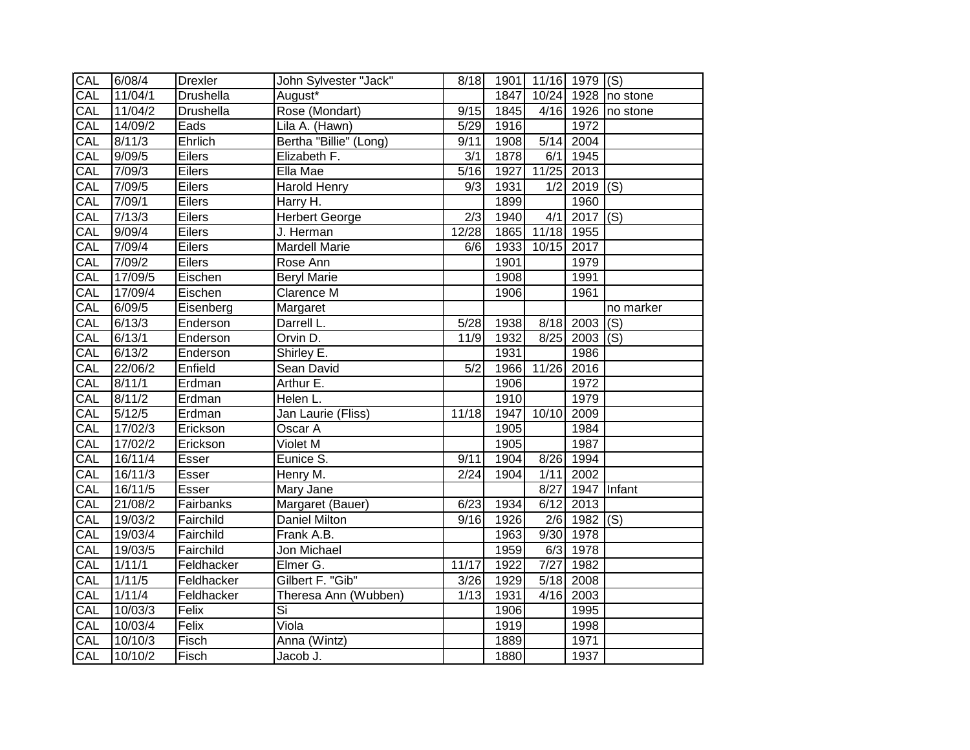| CAL | 6/08/4             | <b>Drexler</b> | John Sylvester "Jack"    | 8/18             |      | 1901 11/16 1979 (S) |                 |                     |
|-----|--------------------|----------------|--------------------------|------------------|------|---------------------|-----------------|---------------------|
| CAL | 11/04/1            | Drushella      | August*                  |                  | 1847 |                     |                 | 10/24 1928 no stone |
| CAL | 11/04/2            | Drushella      | Rose (Mondart)           | 9/15             | 1845 |                     |                 | 4/16 1926 no stone  |
| CAL | 14/09/2            | Eads           | Lila A. (Hawn)           | 5/29             | 1916 |                     | 1972            |                     |
| CAL | 8/11/3             | Ehrlich        | Bertha "Billie" (Long)   | 9/11             | 1908 | 5/14                | 2004            |                     |
| CAL | 9/09/5             | Eilers         | Elizabeth F.             | $\overline{3/1}$ | 1878 | 6/1                 | 1945            |                     |
| CAL | 7/09/3             | Eilers         | Ella Mae                 | 5/16             | 1927 | 11/25               | 2013            |                     |
| CAL | 7/09/5             | Eilers         | Harold Henry             | 9/3              | 1931 | 1/2                 | $2019$ (S)      |                     |
| CAL | 7/09/1             | Eilers         | Harry H.                 |                  | 1899 |                     | 1960            |                     |
| CAL | 7/13/3             | Eilers         | Herbert George           | $\overline{2/3}$ | 1940 | 4/1                 | $2017$ (S)      |                     |
| CAL | 9/09/4             | Eilers         | J. Herman                | 12/28            | 1865 | 11/18 1955          |                 |                     |
| CAL | 7/09/4             | Eilers         | <b>Mardell Marie</b>     | 6/6              | 1933 | 10/15               | 2017            |                     |
| CAL | 7/09/2             | Eilers         | Rose Ann                 |                  | 1901 |                     | 1979            |                     |
| CAL | 17/09/5            | Eischen        | <b>Beryl Marie</b>       |                  | 1908 |                     | 1991            |                     |
| CAL | 17/09/4            | Eischen        | <b>Clarence M</b>        |                  | 1906 |                     | 1961            |                     |
| CAL | 6/09/5             | Eisenberg      | Margaret                 |                  |      |                     |                 | no marker           |
| CAL | 6/13/3             | Enderson       | Darrell L.               | 5/28             | 1938 |                     | $8/18$ 2003 (S) |                     |
| CAL | 6/13/1             | Enderson       | Orvin D.                 | 11/9             | 1932 |                     | $8/25$ 2003 (S) |                     |
| CAL | 6/13/2             | Enderson       | Shirley E.               |                  | 1931 |                     | 1986            |                     |
| CAL | 22/06/2            | Enfield        | Sean David               | 5/2              | 1966 | 11/26               | 2016            |                     |
| CAL | 8/11/1             | Erdman         | Arthur E.                |                  | 1906 |                     | 1972            |                     |
| CAL | 8/11/2             | Erdman         | Helen L.                 |                  | 1910 |                     | 1979            |                     |
| CAL | $\frac{1}{5/12/5}$ | Erdman         | Jan Laurie (Fliss)       | 11/18            | 1947 | 10/10               | 2009            |                     |
| CAL | 17/02/3            | Erickson       | Oscar A                  |                  | 1905 |                     | 1984            |                     |
| CAL | 17/02/2            | Erickson       | Violet M                 |                  | 1905 |                     | 1987            |                     |
| CAL | 16/11/4            | Esser          | Eunice S.                | 9/11             | 1904 | 8/26                | 1994            |                     |
| CAL | 16/11/3            | Esser          | Henry M.                 | 2/24             | 1904 | 1/11                | 2002            |                     |
| CAL | 16/11/5            | Esser          | Mary Jane                |                  |      | 8/27                |                 | 1947 Infant         |
| CAL | 21/08/2            | Fairbanks      | Margaret (Bauer)         | 6/23             | 1934 | 6/12                | 2013            |                     |
| CAL | 19/03/2            | Fairchild      | Daniel Milton            | 9/16             | 1926 |                     | $2/6$ 1982 (S)  |                     |
| CAL | 19/03/4            | Fairchild      | Frank A.B.               |                  | 1963 | 9/30                | 1978            |                     |
| CAL | 19/03/5            | Fairchild      | Jon Michael              |                  | 1959 | 6/3                 | 1978            |                     |
| CAL | 1/11/1             | Feldhacker     | Elmer G.                 | 11/17            | 1922 | 7/27                | 1982            |                     |
| CAL | 1/11/5             | Feldhacker     | Gilbert F. "Gib"         | 3/26             | 1929 | 5/18                | 2008            |                     |
| CAL | 1/11/4             | Feldhacker     | Theresa Ann (Wubben)     | 1/13             | 1931 | 4/16                | 2003            |                     |
| CAL | 10/03/3            | Felix          | $\overline{\mathsf{Si}}$ |                  | 1906 |                     | 1995            |                     |
| CAL | 10/03/4            | Felix          | Viola                    |                  | 1919 |                     | 1998            |                     |
| CAL | 10/10/3            | Fisch          | Anna (Wintz)             |                  | 1889 |                     | 1971            |                     |
| CAL | 10/10/2            | Fisch          | Jacob J.                 |                  | 1880 |                     | 1937            |                     |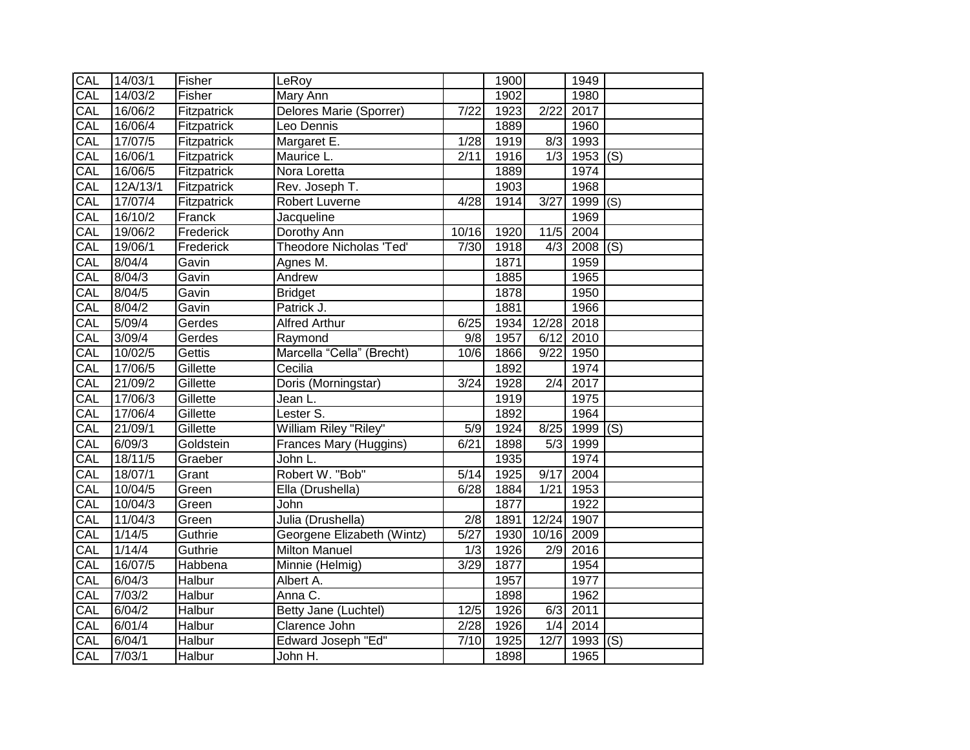| CAL        | 14/03/1  | Fisher        | LeRoy                          |                   | 1900 |                  | 1949       |         |
|------------|----------|---------------|--------------------------------|-------------------|------|------------------|------------|---------|
| CAL        | 14/03/2  | Fisher        | Mary Ann                       |                   | 1902 |                  | 1980       |         |
| CAL        | 16/06/2  | Fitzpatrick   | Delores Marie (Sporrer)        | $\sqrt{7/22}$     | 1923 | 2/22             | 2017       |         |
| CAL        | 16/06/4  | Fitzpatrick   | Leo Dennis                     |                   | 1889 |                  | 1960       |         |
| <b>CAL</b> | 17/07/5  | Fitzpatrick   | Margaret E.                    | 1/28              | 1919 | 8/3              | 1993       |         |
| CAL        | 16/06/1  | Fitzpatrick   | Maurice L.                     | 2/11              | 1916 | 1/3              | 1953       | (s)     |
| CAL        | 16/06/5  | Fitzpatrick   | Nora Loretta                   |                   | 1889 |                  | 1974       |         |
| CAL        | 12A/13/1 | Fitzpatrick   | Rev. Joseph T.                 |                   | 1903 |                  | 1968       |         |
| CAL        | 17/07/4  | Fitzpatrick   | Robert Luverne                 | 4/28              | 1914 | 3/27             | 1999       | (S)     |
| CAL        | 16/10/2  | Franck        | Jacqueline                     |                   |      |                  | 1969       |         |
| CAL        | 19/06/2  | Frederick     | Dorothy Ann                    | 10/16             | 1920 | 11/5             | 2004       |         |
| <b>CAL</b> | 19/06/1  | Frederick     | <b>Theodore Nicholas 'Ted'</b> | 7/30              | 1918 | 4/3              | 2008       | $ $ (S) |
| CAL        | 8/04/4   | Gavin         | Agnes M.                       |                   | 1871 |                  | 1959       |         |
| CAL        | 8/04/3   | Gavin         | Andrew                         |                   | 1885 |                  | 1965       |         |
| <b>CAL</b> | 8/04/5   | Gavin         | <b>Bridget</b>                 |                   | 1878 |                  | 1950       |         |
| <b>CAL</b> | 8/04/2   | Gavin         | Patrick J.                     |                   | 1881 |                  | 1966       |         |
| CAL        | 5/09/4   | Gerdes        | <b>Alfred Arthur</b>           | 6/25              | 1934 | 12/28            | 2018       |         |
| CAL        | 3/09/4   | Gerdes        | Raymond                        | 9/8               | 1957 | 6/12             | 2010       |         |
| CAL        | 10/02/5  | Gettis        | Marcella "Cella" (Brecht)      | 10/6              | 1866 | 9/22             | 1950       |         |
| CAL        | 17/06/5  | Gillette      | Cecilia                        |                   | 1892 |                  | 1974       |         |
| CAL        | 21/09/2  | Gillette      | Doris (Morningstar)            | 3/24              | 1928 | $\overline{2/4}$ | 2017       |         |
| CAL        | 17/06/3  | Gillette      | Jean L.                        |                   | 1919 |                  | 1975       |         |
| CAL        | 17/06/4  | Gillette      | Lester S.                      |                   | 1892 |                  | 1964       |         |
| CAL        | 21/09/1  | Gillette      | William Riley "Riley"          | $\overline{5/9}$  | 1924 | 8/25             | $1999$ (S) |         |
| CAL        | 6/09/3   | Goldstein     | Frances Mary (Huggins)         | 6/21              | 1898 | 5/3              | 1999       |         |
| <b>CAL</b> | 18/11/5  | Graeber       | John L.                        |                   | 1935 |                  | 1974       |         |
| CAL        | 18/07/1  | Grant         | Robert W. "Bob"                | 5/14              | 1925 | 9/17             | 2004       |         |
| CAL        | 10/04/5  | Green         | Ella (Drushella)               | 6/28              | 1884 | 1/21             | 1953       |         |
| CAL        | 10/04/3  | Green         | John                           |                   | 1877 |                  | 1922       |         |
| CAL        | 11/04/3  | Green         | Julia (Drushella)              | 2/8               | 1891 | 12/24            | 1907       |         |
| CAL        | 1/14/5   | Guthrie       | Georgene Elizabeth (Wintz)     | $\overline{5/27}$ | 1930 | 10/16            | 2009       |         |
| CAL        | 1/14/4   | Guthrie       | <b>Milton Manuel</b>           | 1/3               | 1926 | 2/9              | 2016       |         |
| CAL        | 16/07/5  | Habbena       | Minnie (Helmig)                | 3/29              | 1877 |                  | 1954       |         |
| CAL        | 6/04/3   | Halbur        | Albert A.                      |                   | 1957 |                  | 1977       |         |
| CAL        | 7/03/2   | <b>Halbur</b> | Anna C.                        |                   | 1898 |                  | 1962       |         |
| CAL        | 6/04/2   | Halbur        | Betty Jane (Luchtel)           | 12/5              | 1926 | 6/3              | 2011       |         |
| <b>CAL</b> | 6/01/4   | Halbur        | Clarence John                  | 2/28              | 1926 | 1/4              | 2014       |         |
| CAL        | 6/04/1   | Halbur        | <b>Edward Joseph "Ed"</b>      | 7/10              | 1925 | 12/7             | 1993       | (S)     |
| CAL        | 7/03/1   | Halbur        | John H.                        |                   | 1898 |                  | 1965       |         |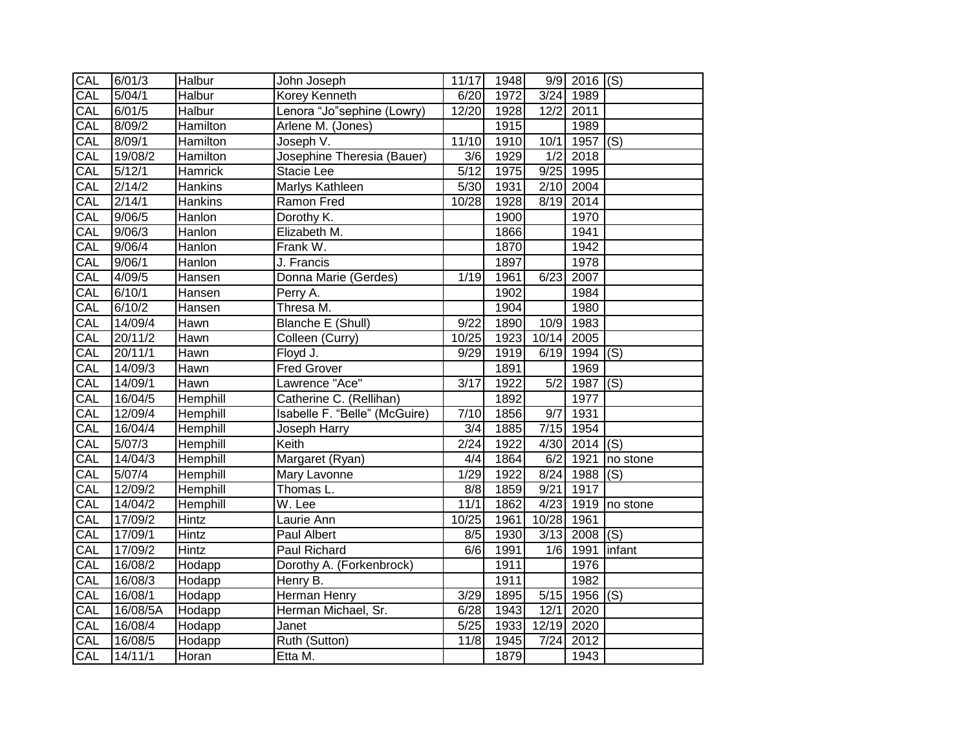| <b>CAL</b> | 6/01/3   | Halbur          | John Joseph                   | 11/17             | 1948 |                  | $\overline{9/9}$ 2016 (S) |          |
|------------|----------|-----------------|-------------------------------|-------------------|------|------------------|---------------------------|----------|
| CAL        | 5/04/1   | <b>Halbur</b>   | <b>Korey Kenneth</b>          | 6/20              | 1972 | 3/24             | 1989                      |          |
| CAL        | 6/01/5   | Halbur          | Lenora "Jo"sephine (Lowry)    | 12/20             | 1928 | 12/2             | 2011                      |          |
| CAL        | 8/09/2   | Hamilton        | Arlene M. (Jones)             |                   | 1915 |                  | 1989                      |          |
| CAL        | 8/09/1   | Hamilton        | Joseph V.                     | 11/10             | 1910 | 10/1             | 1957                      | (S)      |
| CAL        | 19/08/2  | Hamilton        | Josephine Theresia (Bauer)    | 3/6               | 1929 | $\overline{1/2}$ | 2018                      |          |
| CAL        | 5/12/1   | Hamrick         | Stacie Lee                    | $\sqrt{5/12}$     | 1975 |                  | 9/25 1995                 |          |
| CAL        | 2/14/2   | <b>Hankins</b>  | Marlys Kathleen               | 5/30              | 1931 | 2/10             | 2004                      |          |
| CAL        | 2/14/1   | Hankins         | Ramon Fred                    | 10/28             | 1928 | 8/19             | 2014                      |          |
| CAL        | 9/06/5   | Hanlon          | Dorothy K.                    |                   | 1900 |                  | 1970                      |          |
| CAL        | 9/06/3   | Hanlon          | Elizabeth M.                  |                   | 1866 |                  | 1941                      |          |
| CAL        | 9/06/4   | Hanlon          | Frank W.                      |                   | 1870 |                  | 1942                      |          |
| CAL        | 9/06/1   | Hanlon          | J. Francis                    |                   | 1897 |                  | 1978                      |          |
| CAL        | 4/09/5   | Hansen          | Donna Marie (Gerdes)          | 1/19              | 1961 | 6/23             | 2007                      |          |
| CAL        | 6/10/1   | Hansen          | Perry A.                      |                   | 1902 |                  | 1984                      |          |
| CAL        | 6/10/2   | Hansen          | Thresa M.                     |                   | 1904 |                  | 1980                      |          |
| CAL        | 14/09/4  | Hawn            | Blanche E (Shull)             | 9/22              | 1890 | 10/9             | 1983                      |          |
| CAL        | 20/11/2  | Hawn            | Colleen (Curry)               | 10/25             | 1923 | 10/14            | 2005                      |          |
| CAL        | 20/11/1  | Hawn            | Floyd J.                      | 9/29              | 1919 | 6/19             | $1994$ (S)                |          |
| CAL        | 14/09/3  | <b>Hawn</b>     | <b>Fred Grover</b>            |                   | 1891 |                  | 1969                      |          |
| CAL        | 14/09/1  | Hawn            | Lawrence "Ace"                | $\overline{3/17}$ | 1922 | $\overline{5/2}$ | $1987$ (S)                |          |
| CAL        | 16/04/5  | <b>Hemphill</b> | Catherine C. (Rellihan)       |                   | 1892 |                  | 1977                      |          |
| CAL        | 12/09/4  | Hemphill        | Isabelle F. "Belle" (McGuire) | 7/10              | 1856 | 9/7              | 1931                      |          |
| CAL        | 16/04/4  | Hemphill        | Joseph Harry                  | 3/4               | 1885 | 7/15             | 1954                      |          |
| CAL        | 5/07/3   | Hemphill        | Keith                         | 2/24              | 1922 | 4/30             | 2014                      | (S)      |
| CAL        | 14/04/3  | Hemphill        | Margaret (Ryan)               | 4/4               | 1864 | 6/2              | 1921                      | no stone |
| CAL        | 5/07/4   | Hemphill        | Mary Lavonne                  | 1/29              | 1922 | 8/24             | 1988                      | (S)      |
| CAL        | 12/09/2  | Hemphill        | Thomas L.                     | 8/8               | 1859 | 9/21             | 1917                      |          |
| CAL        | 14/04/2  | Hemphill        | $\overline{W}$ . Lee          | 11/1              | 1862 |                  | $4/23$ 1919               | no stone |
| CAL        | 17/09/2  | Hintz           | Laurie Ann                    | 10/25             | 1961 | 10/28            | 1961                      |          |
| CAL        | 17/09/1  | Hintz           | Paul Albert                   | 8/5               | 1930 | 3/13             | $2008$ (S)                |          |
| CAL        | 17/09/2  | Hintz           | Paul Richard                  | 6/6               | 1991 | 1/6              | 1991                      | infant   |
| CAL        | 16/08/2  | Hodapp          | Dorothy A. (Forkenbrock)      |                   | 1911 |                  | 1976                      |          |
| CAL        | 16/08/3  | Hodapp          | Henry B.                      |                   | 1911 |                  | 1982                      |          |
| CAL        | 16/08/1  | Hodapp          | Herman Henry                  | $\overline{3}/29$ | 1895 |                  | $5/15$ 1956 (S)           |          |
| CAL        | 16/08/5A | Hodapp          | Herman Michael, Sr.           | 6/28              | 1943 | 12/1             | 2020                      |          |
| CAL        | 16/08/4  | Hodapp          | Janet                         | 5/25              | 1933 | 12/19            | 2020                      |          |
| CAL        | 16/08/5  | Hodapp          | Ruth (Sutton)                 | 11/8              | 1945 | 7/24             | 2012                      |          |
| CAL        | 14/11/1  | Horan           | Etta M.                       |                   | 1879 |                  | 1943                      |          |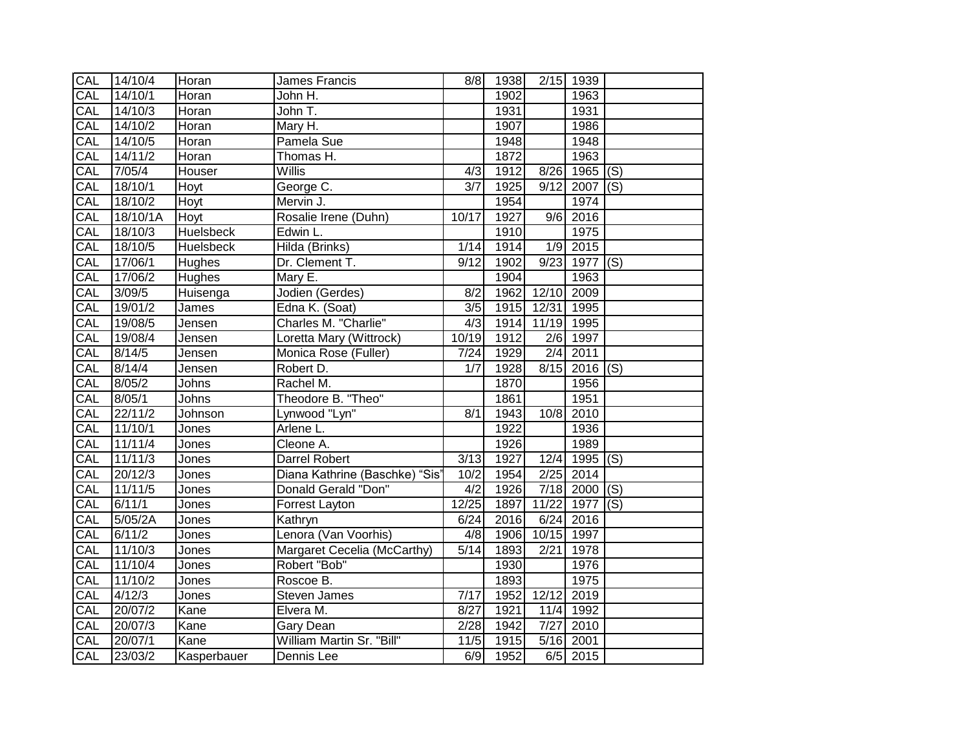| CAL        | 14/10/4         | Horan            | James Francis                  | 8/8              | 1938 |              | 2/15 1939       |     |
|------------|-----------------|------------------|--------------------------------|------------------|------|--------------|-----------------|-----|
| CAL        | 14/10/1         | Horan            | John H.                        |                  | 1902 |              | 1963            |     |
| CAL        | 14/10/3         | Horan            | John T.                        |                  | 1931 |              | 1931            |     |
| CAL        | 14/10/2         | Horan            | Mary H.                        |                  | 1907 |              | 1986            |     |
| CAL        | 14/10/5         | Horan            | Pamela Sue                     |                  | 1948 |              | 1948            |     |
| CAL        | 14/11/2         | Horan            | Thomas H.                      |                  | 1872 |              | 1963            |     |
| CAL        | 7/05/4          | Houser           | <b>Willis</b>                  | 4/3              | 1912 | 8/26         | 1965 $(S)$      |     |
| CAL        | 18/10/1         | Hoyt             | George C.                      | 3/7              | 1925 | 9/12         | 2007            | (S) |
| CAL        | 18/10/2         | Hoyt             | Mervin J.                      |                  | 1954 |              | 1974            |     |
| CAL        | 18/10/1A        | Hoyt             | Rosalie Irene (Duhn)           | 10/17            | 1927 |              | $9/6$ 2016      |     |
| CAL        | 18/10/3         | <b>Huelsbeck</b> | Edwin L.                       |                  | 1910 |              | 1975            |     |
| CAL        | 18/10/5         | <b>Huelsbeck</b> | Hilda (Brinks)                 | 1/14             | 1914 | 1/9          | 2015            |     |
| CAL        | 17/06/1         | Hughes           | Dr. Clement T.                 | 9/12             | 1902 | 9/23         | 1977            | (S) |
| CAL        | 17/06/2         | Hughes           | Mary E.                        |                  | 1904 |              | 1963            |     |
| CAL        | 3/09/5          | Huisenga         | Jodien (Gerdes)                | 8/2              | 1962 | 12/10        | 2009            |     |
| CAL        | 19/01/2         | James            | Edna K. (Soat)                 | $\overline{3/5}$ | 1915 | 12/31        | 1995            |     |
| CAL        | 19/08/5         | Jensen           | Charles M. "Charlie"           | 4/3              | 1914 | 11/19 1995   |                 |     |
| <b>CAL</b> | 19/08/4         | Jensen           | Loretta Mary (Wittrock)        | 10/19            | 1912 |              | 2/6 1997        |     |
| CAL        | 8/14/5          | Jensen           | Monica Rose (Fuller)           | 7/24             | 1929 |              | $2/4$ 2011      |     |
| CAL        | 8/14/4          | <b>Jensen</b>    | Robert D.                      | 1/7              | 1928 |              | $8/15$ 2016 (S) |     |
| CAL        | 8/05/2          | Johns            | Rachel M.                      |                  | 1870 |              | 1956            |     |
| CAL        | 8/05/1          | Johns            | Theodore B. "Theo"             |                  | 1861 |              | 1951            |     |
| CAL        | 22/11/2         | Johnson          | Lynwood "Lyn"                  | 8/1              | 1943 | $10\sqrt{8}$ | 2010            |     |
| CAL        | 11/10/1         | Jones            | Arlene L.                      |                  | 1922 |              | 1936            |     |
| CAL        | 11/11/4         | Jones            | Cleone A.                      |                  | 1926 |              | 1989            |     |
| CAL        | 11/11/3         | Jones            | Darrel Robert                  | 3/13             | 1927 | 12/4         | $1995$ (S)      |     |
| <b>CAL</b> | 20/12/3         | Jones            | Diana Kathrine (Baschke) "Sis' | 10/2             | 1954 |              | 2/25 2014       |     |
| CAL        | 11/11/5         | Jones            | Donald Gerald "Don"            | 4/2              | 1926 |              | $7/18$ 2000 (S) |     |
| CAL        | 6/11/1          | Jones            | Forrest Layton                 | 12/25            | 1897 | 11/22        | 1977            | (s) |
| CAL        | 5/05/2A         | Jones            | Kathryn                        | 6/24             | 2016 | 6/24         | 2016            |     |
| CAL        | $\sqrt{6/11/2}$ | Jones            | Lenora (Van Voorhis)           | 4/8              | 1906 | 10/15        | 1997            |     |
| CAL        | 11/10/3         | Jones            | Margaret Cecelia (McCarthy)    | 5/14             | 1893 | 2/21         | 1978            |     |
| CAL        | 11/10/4         | Jones            | Robert "Bob"                   |                  | 1930 |              | 1976            |     |
| CAL        | 11/10/2         | Jones            | Roscoe B.                      |                  | 1893 |              | 1975            |     |
| CAL        | 4/12/3          | Jones            | <b>Steven James</b>            | 7/17             | 1952 | 12/12        | 2019            |     |
| CAL        | 20/07/2         | Kane             | Elvera M.                      | 8/27             | 1921 | 11/4         | 1992            |     |
| CAL        | 20/07/3         | Kane             | Gary Dean                      | 2/28             | 1942 | 7/27         | 2010            |     |
| CAL        | 20/07/1         | Kane             | William Martin Sr. "Bill"      | 11/5             | 1915 |              | 5/16 2001       |     |
| CAL        | 23/03/2         | Kasperbauer      | Dennis Lee                     | 6/9              | 1952 |              | $6/5$ 2015      |     |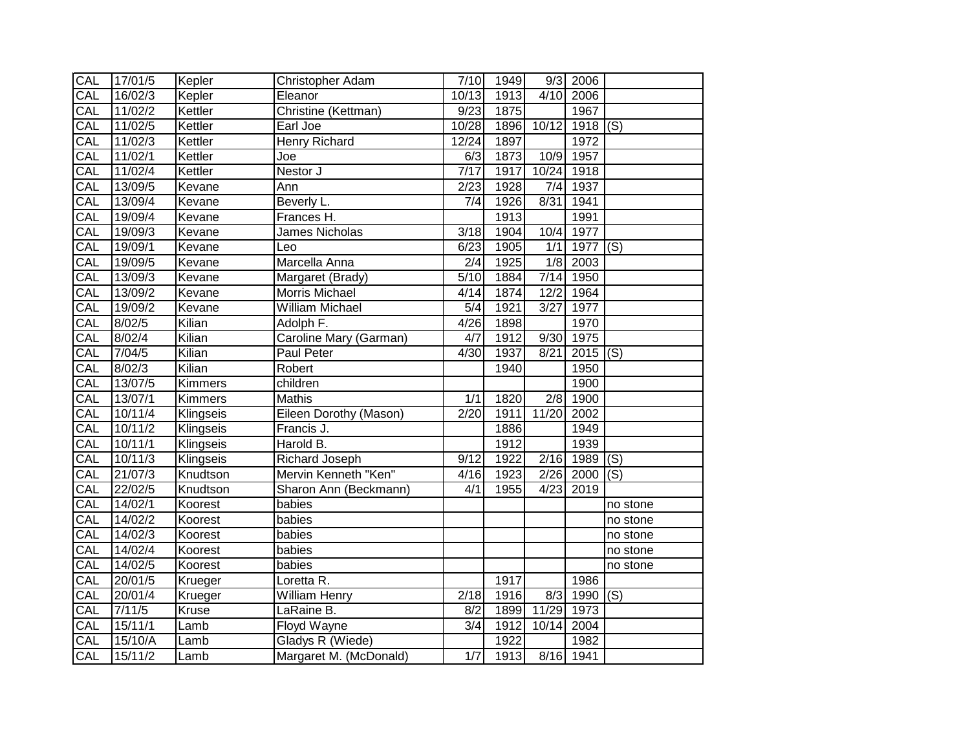| CAL | 17/01/5 | Kepler    | Christopher Adam       | 7/10              | 1949 |                  | $9/3$ 2006     |                |
|-----|---------|-----------|------------------------|-------------------|------|------------------|----------------|----------------|
| CAL | 16/02/3 | Kepler    | Eleanor                | 10/13             | 1913 |                  | 4/10 2006      |                |
| CAL | 11/02/2 | Kettler   | Christine (Kettman)    | 9/23              | 1875 |                  | 1967           |                |
| CAL | 11/02/5 | Kettler   | Earl Joe               | 10/28             | 1896 | 10/12            | $1918$ (S)     |                |
| CAL | 11/02/3 | Kettler   | <b>Henry Richard</b>   | 12/24             | 1897 |                  | 1972           |                |
| CAL | 11/02/1 | Kettler   | Joe                    | 6/3               | 1873 |                  | 10/9 1957      |                |
| CAL | 11/02/4 | Kettler   | Nestor J               | $\overline{7/17}$ | 1917 |                  | 10/24 1918     |                |
| CAL | 13/09/5 | Kevane    | Ann                    | 2/23              | 1928 | 7/4              | 1937           |                |
| CAL | 13/09/4 | Kevane    | Beverly L.             | 7/4               | 1926 | 8/31             | 1941           |                |
| CAL | 19/09/4 | Kevane    | Frances H.             |                   | 1913 |                  | 1991           |                |
| CAL | 19/09/3 | Kevane    | James Nicholas         | 3/18              | 1904 | 10/4             | 1977           |                |
| CAL | 19/09/1 | Kevane    | Leo                    | 6/23              | 1905 | 1/1              | 1977 (S)       |                |
| CAL | 19/09/5 | Kevane    | Marcella Anna          | $\overline{2/4}$  | 1925 |                  | $1/8$ 2003     |                |
| CAL | 13/09/3 | Kevane    | Margaret (Brady)       | $\overline{5/10}$ | 1884 | 7/14             | 1950           |                |
| CAL | 13/09/2 | Kevane    | Morris Michael         | 4/14              | 1874 | 12/2             | 1964           |                |
| CAL | 19/09/2 | Kevane    | <b>William Michael</b> | $\overline{5/4}$  | 1921 | 3/27             | 1977           |                |
| CAL | 8/02/5  | Kilian    | Adolph F.              | 4/26              | 1898 |                  | 1970           |                |
| CAL | 8/02/4  | Kilian    | Caroline Mary (Garman) | 4/7               | 1912 |                  | 9/30 1975      |                |
| CAL | 7/04/5  | Kilian    | <b>Paul Peter</b>      | 4/30              | 1937 | 8/21             | $2015$ (S)     |                |
| CAL | 8/02/3  | Kilian    | Robert                 |                   | 1940 |                  | 1950           |                |
| CAL | 13/07/5 | Kimmers   | children               |                   |      |                  | 1900           |                |
| CAL | 13/07/1 | Kimmers   | <b>Mathis</b>          | 1/1               | 1820 | $\overline{2/8}$ | 1900           |                |
| CAL | 10/11/4 | Klingseis | Eileen Dorothy (Mason) | 2/20              | 1911 | 11/20            | 2002           |                |
| CAL | 10/11/2 | Klingseis | Francis J.             |                   | 1886 |                  | 1949           |                |
| CAL | 10/11/1 | Klingseis | Harold B.              |                   | 1912 |                  | 1939           |                |
| CAL | 10/11/3 | Klingseis | Richard Joseph         | 9/12              | 1922 |                  | 2/16 1989      | $\overline{S}$ |
| CAL | 21/07/3 | Knudtson  | Mervin Kenneth "Ken"   | 4/16              | 1923 |                  | 2/26 2000      | (S)            |
| CAL | 22/02/5 | Knudtson  | Sharon Ann (Beckmann)  | 4/1               | 1955 | 4/23             | 2019           |                |
| CAL | 14/02/1 | Koorest   | babies                 |                   |      |                  |                | no stone       |
| CAL | 14/02/2 | Koorest   | babies                 |                   |      |                  |                | no stone       |
| CAL | 14/02/3 | Koorest   | babies                 |                   |      |                  |                | no stone       |
| CAL | 14/02/4 | Koorest   | babies                 |                   |      |                  |                | no stone       |
| CAL | 14/02/5 | Koorest   | babies                 |                   |      |                  |                | no stone       |
| CAL | 20/01/5 | Krueger   | Loretta R.             |                   | 1917 |                  | 1986           |                |
| CAL | 20/01/4 | Krueger   | William Henry          | 2/18              | 1916 |                  | $8/3$ 1990 (S) |                |
| CAL | 7/11/5  | Kruse     | LaRaine B.             | 8/2               | 1899 | 11/29            | 1973           |                |
| CAL | 15/11/1 | Lamb      | Floyd Wayne            | $\overline{3/4}$  | 1912 | 10/14            | 2004           |                |
| CAL | 15/10/A | Lamb      | Gladys R (Wiede)       |                   | 1922 |                  | 1982           |                |
| CAL | 15/11/2 | Lamb      | Margaret M. (McDonald) | 1/7               | 1913 |                  | 8/16 1941      |                |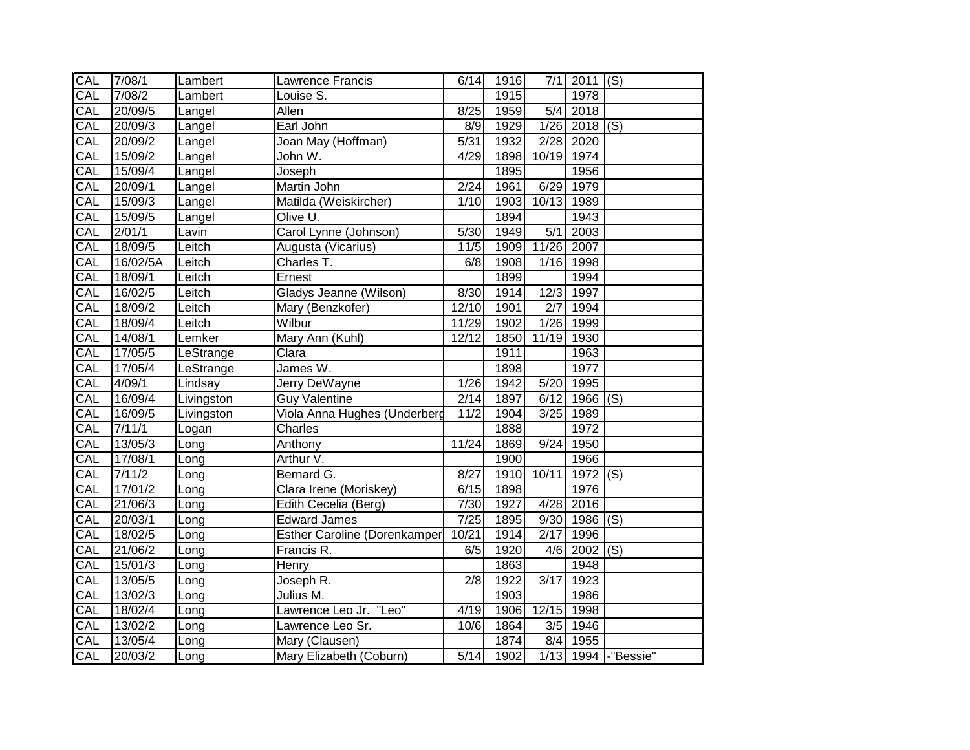| <b>CAL</b>       | 7/08/1   | Lambert    | Lawrence Francis                    | 6/14  | 1916 |            | $7/1$ 2011 (S)  |                     |
|------------------|----------|------------|-------------------------------------|-------|------|------------|-----------------|---------------------|
| <b>CAL</b>       | 7/08/2   | Lambert    | Louise S.                           |       | 1915 |            | 1978            |                     |
| CAL              | 20/09/5  | Langel     | Allen                               | 8/25  | 1959 | 5/4        | 2018            |                     |
| CAL              | 20/09/3  | Langel     | Earl John                           | 8/9   | 1929 |            | $1/26$ 2018 (S) |                     |
| CAL              | 20/09/2  | Langel     | Joan May (Hoffman)                  | 5/31  | 1932 |            | 2/28 2020       |                     |
| CAL              | 15/09/2  | Langel     | John W.                             | 4/29  | 1898 | 10/19 1974 |                 |                     |
| CAL              | 15/09/4  | Langel     | Joseph                              |       | 1895 |            | 1956            |                     |
| CAL              | 20/09/1  | Langel     | Martin John                         | 2/24  | 1961 | 6/29       | 1979            |                     |
| CAL              | 15/09/3  | Langel     | Matilda (Weiskircher)               | 1/10  | 1903 | 10/13      | 1989            |                     |
| CAL              | 15/09/5  | Langel     | Olive U.                            |       | 1894 |            | 1943            |                     |
| CAL              | 2/01/1   | Lavin      | Carol Lynne (Johnson)               | 5/30  | 1949 | 5/1        | 2003            |                     |
| CAL              | 18/09/5  | Leitch     | Augusta (Vicarius)                  | 11/5  | 1909 | 11/26      | 2007            |                     |
| CAL              | 16/02/5A | Leitch     | Charles T.                          | 6/8   | 1908 | 1/16       | 1998            |                     |
| $\overline{CAL}$ | 18/09/1  | Leitch     | Ernest                              |       | 1899 |            | 1994            |                     |
| CAL              | 16/02/5  | Leitch     | Gladys Jeanne (Wilson)              | 8/30  | 1914 | 12/3       | 1997            |                     |
| CAL              | 18/09/2  | Leitch     | Mary (Benzkofer)                    | 12/10 | 1901 | 2/7        | 1994            |                     |
| CAL              | 18/09/4  | Leitch     | Wilbur                              | 11/29 | 1902 |            | 1/26 1999       |                     |
| CAL              | 14/08/1  | Lemker     | Mary Ann (Kuhl)                     | 12/12 | 1850 | 11/19 1930 |                 |                     |
| CAL              | 17/05/5  | LeStrange  | Clara                               |       | 1911 |            | 1963            |                     |
| CAL              | 17/05/4  | LeStrange  | James W.                            |       | 1898 |            | 1977            |                     |
| CAL              | 4/09/1   | Lindsay    | <b>Jerry DeWayne</b>                | 1/26  | 1942 | 5/20       | 1995            |                     |
| CAL              | 16/09/4  | Livingston | <b>Guy Valentine</b>                | 2/14  | 1897 | 6/12       | $1966$ (S)      |                     |
| CAL              | 16/09/5  | Livingston | Viola Anna Hughes (Underberg        | 11/2  | 1904 | 3/25       | 1989            |                     |
| CAL              | 7/11/1   | Logan      | Charles                             |       | 1888 |            | 1972            |                     |
| CAL              | 13/05/3  | Long       | Anthony                             | 11/24 | 1869 | 9/24       | 1950            |                     |
| CAL              | 17/08/1  | Long       | Arthur V.                           |       | 1900 |            | 1966            |                     |
| CAL              | 7/11/2   | Long       | Bernard G.                          | 8/27  | 1910 | 10/11      | $1972$ (S)      |                     |
| CAL              | 17/01/2  | Long       | Clara Irene (Moriskey)              | 6/15  | 1898 |            | 1976            |                     |
| CAL              | 21/06/3  | Long       | Edith Cecelia (Berg)                | 7/30  | 1927 | 4/28       | 2016            |                     |
| CAL              | 20/03/1  | Long       | <b>Edward James</b>                 | 7/25  | 1895 | 9/30       | $1986$ (S)      |                     |
| CAL              | 18/02/5  | Long       | <b>Esther Caroline (Dorenkamper</b> | 10/21 | 1914 | 2/17       | 1996            |                     |
| CAL              | 21/06/2  | Long       | Francis R.                          | 6/5   | 1920 | 4/6        | $2002$ (S)      |                     |
| CAL              | 15/01/3  | Long       | Henry                               |       | 1863 |            | 1948            |                     |
| CAL              | 13/05/5  | Long       | Joseph R.                           | 2/8   | 1922 | 3/17       | 1923            |                     |
| CAL              | 13/02/3  | Long       | Julius M.                           |       | 1903 |            | 1986            |                     |
| CAL              | 18/02/4  | Long       | Lawrence Leo Jr. "Leo"              | 4/19  | 1906 | 12/15      | 1998            |                     |
| CAL              | 13/02/2  | Long       | Lawrence Leo Sr.                    | 10/6  | 1864 | 3/5        | 1946            |                     |
| CAL              | 13/05/4  | Long       | Mary (Clausen)                      |       | 1874 | 8/4        | 1955            |                     |
| CAL              | 20/03/2  | Long       | Mary Elizabeth (Coburn)             | 5/14  | 1902 |            |                 | 1/13 1994 -"Bessie" |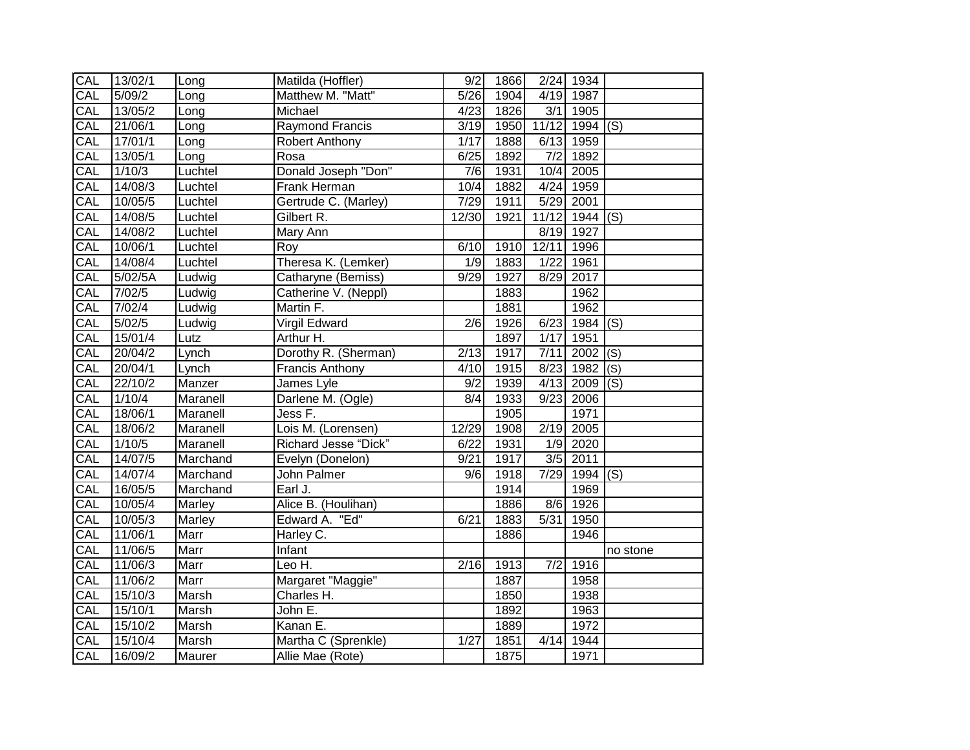| CAL | 13/02/1 | Long     | Matilda (Hoffler)           | 9/2               | 1866 |                  | 2/24 1934  |          |
|-----|---------|----------|-----------------------------|-------------------|------|------------------|------------|----------|
| CAL | 5/09/2  | Long     | Matthew M. "Matt"           | $\overline{5/26}$ | 1904 |                  | 4/19 1987  |          |
| CAL | 13/05/2 | Long     | Michael                     | 4/23              | 1826 | 3/1              | 1905       |          |
| CAL | 21/06/1 | Long     | Raymond Francis             | 3/19              | 1950 | 11/12            | $1994$ (S) |          |
| CAL | 17/01/1 | Long     | Robert Anthony              | 1/17              | 1888 | 6/13             | 1959       |          |
| CAL | 13/05/1 | Long     | Rosa                        | 6/25              | 1892 | $\overline{7/2}$ | 1892       |          |
| CAL | 1/10/3  | Luchtel  | Donald Joseph "Don"         | 7/6               | 1931 | 10/4             | 2005       |          |
| CAL | 14/08/3 | Luchtel  | Frank Herman                | 10/4              | 1882 | 4/24             | 1959       |          |
| CAL | 10/05/5 | Luchtel  | Gertrude C. (Marley)        | 7/29              | 1911 | 5/29             | 2001       |          |
| CAL | 14/08/5 | Luchtel  | Gilbert R.                  | 12/30             | 1921 | 11/12            | 1944 (S)   |          |
| CAL | 14/08/2 | Luchtel  | Mary Ann                    |                   |      | 8/19             | 1927       |          |
| CAL | 10/06/1 | Luchtel  | Roy                         | 6/10              | 1910 | 12/11            | 1996       |          |
| CAL | 14/08/4 | Luchtel  | Theresa K. (Lemker)         | 1/9               | 1883 | 1/22             | 1961       |          |
| CAL | 5/02/5A | Ludwig   | Catharyne (Bemiss)          | 9/29              | 1927 | 8/29             | 2017       |          |
| CAL | 7/02/5  | Ludwig   | Catherine V. (Neppl)        |                   | 1883 |                  | 1962       |          |
| CAL | 7/02/4  | Ludwig   | Martin F.                   |                   | 1881 |                  | 1962       |          |
| CAL | 5/02/5  | Ludwig   | <b>Virgil Edward</b>        | $\overline{2/6}$  | 1926 | 6/23             | $1984$ (S) |          |
| CAL | 15/01/4 | Lutz     | Arthur H.                   |                   | 1897 | 1/17             | 1951       |          |
| CAL | 20/04/2 | Lynch    | Dorothy R. (Sherman)        | $\sqrt{2/13}$     | 1917 | 7/11             | 2002       | (S)      |
| CAL | 20/04/1 | Lynch    | <b>Francis Anthony</b>      | 4/10              | 1915 | 8/23             | 1982 $(S)$ |          |
| CAL | 22/10/2 | Manzer   | James Lyle                  | 9/2               | 1939 | 4/13             | $2009$ (S) |          |
| CAL | 1/10/4  | Maranell | Darlene M. (Ogle)           | 8/4               | 1933 | 9/23             | 2006       |          |
| CAL | 18/06/1 | Maranell | Jess F.                     |                   | 1905 |                  | 1971       |          |
| CAL | 18/06/2 | Maranell | Lois M. (Lorensen)          | 12/29             | 1908 | 2/19             | 2005       |          |
| CAL | 1/10/5  | Maranell | <b>Richard Jesse "Dick"</b> | 6/22              | 1931 | 1/9              | 2020       |          |
| CAL | 14/07/5 | Marchand | Evelyn (Donelon)            | 9/21              | 1917 |                  | $3/5$ 2011 |          |
| CAL | 14/07/4 | Marchand | John Palmer                 | 9/6               | 1918 | 7/29             | $1994$ (S) |          |
| CAL | 16/05/5 | Marchand | Earl J.                     |                   | 1914 |                  | 1969       |          |
| CAL | 10/05/4 | Marley   | Alice B. (Houlihan)         |                   | 1886 | 8/6              | 1926       |          |
| CAL | 10/05/3 | Marley   | Edward A. "Ed"              | 6/21              | 1883 | 5/31             | 1950       |          |
| CAL | 11/06/1 | Marr     | Harley C.                   |                   | 1886 |                  | 1946       |          |
| CAL | 11/06/5 | Marr     | Infant                      |                   |      |                  |            | no stone |
| CAL | 11/06/3 | Marr     | Leo H.                      | 2/16              | 1913 | 7/2              | 1916       |          |
| CAL | 11/06/2 | Marr     | Margaret "Maggie"           |                   | 1887 |                  | 1958       |          |
| CAL | 15/10/3 | Marsh    | Charles H.                  |                   | 1850 |                  | 1938       |          |
| CAL | 15/10/1 | Marsh    | John E.                     |                   | 1892 |                  | 1963       |          |
| CAL | 15/10/2 | Marsh    | Kanan E.                    |                   | 1889 |                  | 1972       |          |
| CAL | 15/10/4 | Marsh    | Martha C (Sprenkle)         | 1/27              | 1851 | 4/14             | 1944       |          |
| CAL | 16/09/2 | Maurer   | Allie Mae (Rote)            |                   | 1875 |                  | 1971       |          |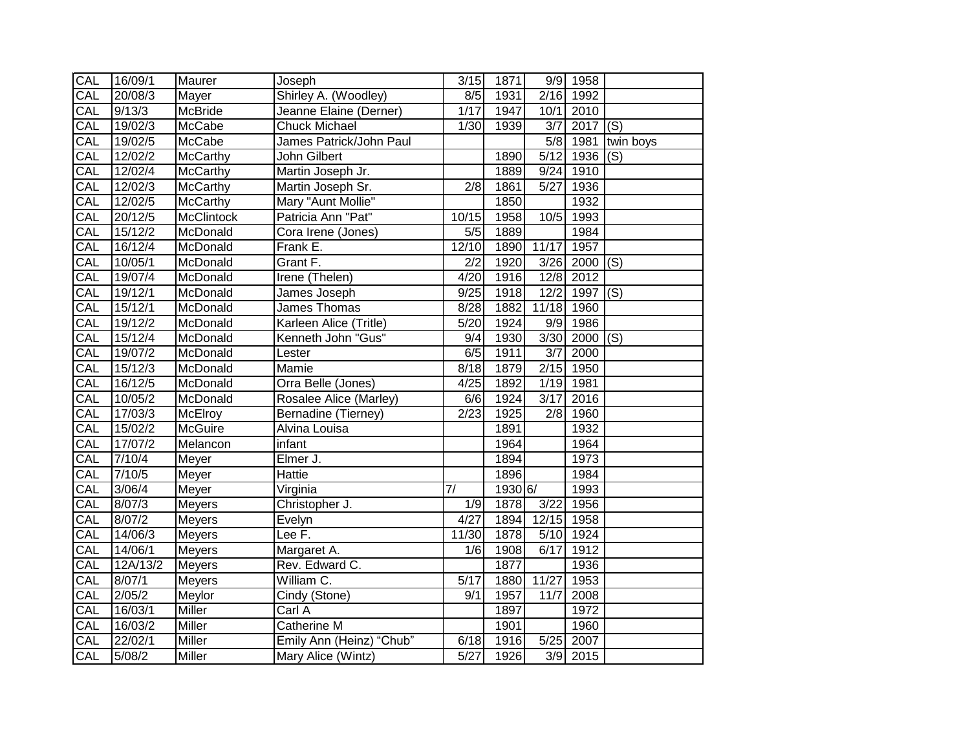| CAL        | 16/09/1          | Maurer          | Joseph                   | $\overline{3}/15$ | 1871              |                  | $\overline{9/9}$ 1958 |                |
|------------|------------------|-----------------|--------------------------|-------------------|-------------------|------------------|-----------------------|----------------|
| CAL        | 20/08/3          | Mayer           | Shirley A. (Woodley)     | 8/5               | 1931              |                  | 2/16 1992             |                |
| CAL        | 9/13/3           | <b>McBride</b>  | Jeanne Elaine (Derner)   | 1/17              | 1947              | 10/1             | 2010                  |                |
| CAL        | 19/02/3          | McCabe          | <b>Chuck Michael</b>     | 1/30              | 1939              | 3/7              | $2017$ (S)            |                |
| <b>CAL</b> | 19/02/5          | McCabe          | James Patrick/John Paul  |                   |                   |                  | 5/8 1981              | twin boys      |
| CAL        | 12/02/2          | <b>McCarthy</b> | <b>John Gilbert</b>      |                   | 1890              | $\frac{5}{12}$   | 1936                  | (S)            |
| CAL        | 12/02/4          | <b>McCarthy</b> | Martin Joseph Jr.        |                   | 1889              | 9/24             | 1910                  |                |
| CAL        | 12/02/3          | McCarthy        | Martin Joseph Sr.        | 2/8               | 1861              | 5/27             | 1936                  |                |
| CAL        | 12/02/5          | McCarthy        | Mary "Aunt Mollie"       |                   | 1850              |                  | 1932                  |                |
| CAL        | 20/12/5          | McClintock      | Patricia Ann "Pat"       | 10/15             | 1958              | 10/5             | 1993                  |                |
| CAL        | 15/12/2          | McDonald        | Cora Irene (Jones)       | $\overline{5/5}$  | 1889              |                  | 1984                  |                |
| CAL        | 16/12/4          | McDonald        | Frank E.                 | 12/10             | 1890              | 11/17            | 1957                  |                |
| CAL        | 10/05/1          | McDonald        | Grant F.                 | $\overline{2/2}$  | $\overline{19}20$ | 3/26             | $2000$ (S)            |                |
| CAL        | 19/07/4          | McDonald        | Irene (Thelen)           | 4/20              | 1916              | 12/8             | 2012                  |                |
| CAL        | 19/12/1          | McDonald        | James Joseph             | 9/25              | 1918              | 12/2             | 1997                  | $\overline{S}$ |
| CAL        | 15/12/1          | McDonald        | James Thomas             | 8/28              | 1882              | 11/18            | 1960                  |                |
| CAL        | 19/12/2          | McDonald        | Karleen Alice (Tritle)   | 5/20              | 1924              | 9/9              | 1986                  |                |
| CAL        | 15/12/4          | McDonald        | Kenneth John "Gus"       | $\overline{9/4}$  | 1930              | 3/30             | $2000$ (S)            |                |
| CAL        | 19/07/2          | McDonald        | Lester                   | 6/5               | 1911              | $\overline{3/7}$ | 2000                  |                |
| CAL        | 15/12/3          | McDonald        | <b>Mamie</b>             | 8/18              | 1879              | 2/15             | 1950                  |                |
| CAL        | 16/12/5          | McDonald        | Orra Belle (Jones)       | 4/25              | 1892              | 1/19             | 1981                  |                |
| CAL        | 10/05/2          | McDonald        | Rosalee Alice (Marley)   | $\frac{6}{6}$     | 1924              | 3/17             | 2016                  |                |
| CAL        | 17/03/3          | <b>McElroy</b>  | Bernadine (Tierney)      | $\sqrt{2/23}$     | 1925              | 2/8              | 1960                  |                |
| CAL        | 15/02/2          | McGuire         | Alvina Louisa            |                   | 1891              |                  | 1932                  |                |
| CAL        | 17/07/2          | Melancon        | infant                   |                   | 1964              |                  | 1964                  |                |
| CAL        | 7/10/4           | Meyer           | Elmer J.                 |                   | 1894              |                  | 1973                  |                |
| CAL        | 7/10/5           | Meyer           | <b>Hattie</b>            |                   | 1896              |                  | 1984                  |                |
| CAL        | 3/06/4           | Meyer           | Virginia                 | 7/                | 1930 6/           |                  | 1993                  |                |
| CAL        | 8/07/3           | Meyers          | Christopher J.           | 1/9               | 1878              | 3/22             | 1956                  |                |
| CAL        | 8/07/2           | <b>Meyers</b>   | Evelyn                   | 4/27              | 1894              | 12/15            | 1958                  |                |
| CAL        | 14/06/3          | <b>Meyers</b>   | Lee F.                   | 11/30             | 1878              | 5/10             | 1924                  |                |
| CAL        | 14/06/1          | Meyers          | Margaret A.              | 1/6               | 1908              | 6/17             | 1912                  |                |
| CAL        | 12A/13/2         | <b>Meyers</b>   | Rev. Edward C.           |                   | 1877              |                  | 1936                  |                |
| CAL        | 8/07/1           | Meyers          | William C.               | 5/17              | 1880              | 11/27            | 1953                  |                |
| CAL        | $\frac{2}{05/2}$ | Meylor          | Cindy (Stone)            | 9/1               | 1957              | 11/7             | 2008                  |                |
| CAL        | 16/03/1          | Miller          | $\overline{Carl}$ A      |                   | 1897              |                  | 1972                  |                |
| CAL        | 16/03/2          | Miller          | Catherine M              |                   | 1901              |                  | 1960                  |                |
| <b>CAL</b> | 22/02/1          | Miller          | Emily Ann (Heinz) "Chub" | 6/18              | 1916              | 5/25             | 2007                  |                |
| CAL        | 5/08/2           | Miller          | Mary Alice (Wintz)       | 5/27              | 1926              |                  | $3/9$ 2015            |                |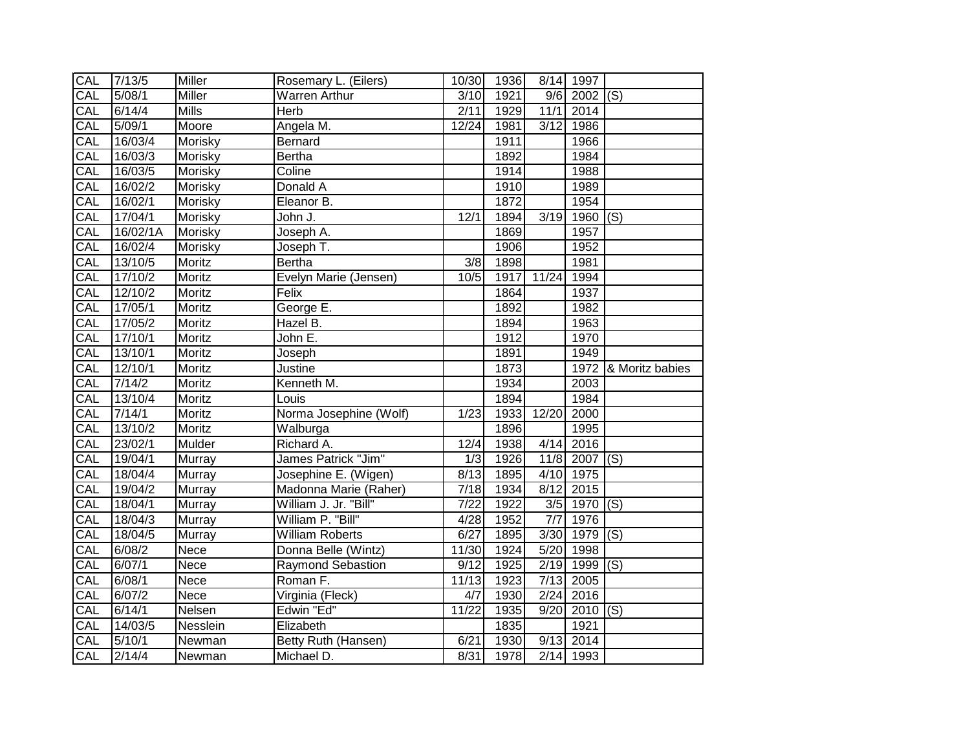| CAL | 7/13/5   | Miller        | Rosemary L. (Eilers)     | 10/30             | 1936 |       | 8/14 1997       |                      |
|-----|----------|---------------|--------------------------|-------------------|------|-------|-----------------|----------------------|
| CAL | 5/08/1   | <b>Miller</b> | <b>Warren Arthur</b>     | 3/10              | 1921 |       | $9/6$ 2002 (S)  |                      |
| CAL | 6/14/4   | <b>Mills</b>  | Herb                     | 2/11              | 1929 | 11/1  | 2014            |                      |
| CAL | 5/09/1   | Moore         | Angela M.                | 12/24             | 1981 | 3/12  | 1986            |                      |
| CAL | 16/03/4  | Morisky       | Bernard                  |                   | 1911 |       | 1966            |                      |
| CAL | 16/03/3  | Morisky       | Bertha                   |                   | 1892 |       | 1984            |                      |
| CAL | 16/03/5  | Morisky       | Coline                   |                   | 1914 |       | 1988            |                      |
| CAL | 16/02/2  | Morisky       | Donald A                 |                   | 1910 |       | 1989            |                      |
| CAL | 16/02/1  | Morisky       | Eleanor B.               |                   | 1872 |       | 1954            |                      |
| CAL | 17/04/1  | Morisky       | John J.                  | 12/1              | 1894 | 3/19  | 1960 $(S)$      |                      |
| CAL | 16/02/1A | Morisky       | Joseph A.                |                   | 1869 |       | 1957            |                      |
| CAL | 16/02/4  | Morisky       | Joseph T.                |                   | 1906 |       | 1952            |                      |
| CAL | 13/10/5  | Moritz        | Bertha                   | $\overline{3}/8$  | 1898 |       | 1981            |                      |
| CAL | 17/10/2  | Moritz        | Evelyn Marie (Jensen)    | 10/5              | 1917 | 11/24 | 1994            |                      |
| CAL | 12/10/2  | Moritz        | Felix                    |                   | 1864 |       | 1937            |                      |
| CAL | 17/05/1  | Moritz        | George E.                |                   | 1892 |       | 1982            |                      |
| CAL | 17/05/2  | Moritz        | Hazel B.                 |                   | 1894 |       | 1963            |                      |
| CAL | 17/10/1  | Moritz        | John E.                  |                   | 1912 |       | 1970            |                      |
| CAL | 13/10/1  | Moritz        | Joseph                   |                   | 1891 |       | 1949            |                      |
| CAL | 12/10/1  | Moritz        | Justine                  |                   | 1873 |       |                 | 1972 & Moritz babies |
| CAL | 7/14/2   | Moritz        | Kenneth M.               |                   | 1934 |       | 2003            |                      |
| CAL | 13/10/4  | Moritz        | Louis                    |                   | 1894 |       | 1984            |                      |
| CAL | 7/14/1   | Moritz        | Norma Josephine (Wolf)   | 1/23              | 1933 | 12/20 | 2000            |                      |
| CAL | 13/10/2  | Moritz        | Walburga                 |                   | 1896 |       | 1995            |                      |
| CAL | 23/02/1  | Mulder        | Richard A.               | 12/4              | 1938 | 4/14  | 2016            |                      |
| CAL | 19/04/1  | Murray        | James Patrick "Jim"      | 1/3               | 1926 |       | $11/8$ 2007 (S) |                      |
| CAL | 18/04/4  | Murray        | Josephine E. (Wigen)     | 8/13              | 1895 | 4/10  | 1975            |                      |
| CAL | 19/04/2  | Murray        | Madonna Marie (Raher)    | 7/18              | 1934 | 8/12  | 2015            |                      |
| CAL | 18/04/1  | Murray        | William J. Jr. "Bill"    | $\overline{7/22}$ | 1922 |       | 3/5 1970        | $\overline{S}$       |
| CAL | 18/04/3  | Murray        | William P. "Bill"        | 4/28              | 1952 | 7/7   | 1976            |                      |
| CAL | 18/04/5  | Murray        | <b>William Roberts</b>   | 6/27              | 1895 | 3/30  | $1979$ (S)      |                      |
| CAL | 6/08/2   | Nece          | Donna Belle (Wintz)      | 11/30             | 1924 | 5/20  | 1998            |                      |
| CAL | 6/07/1   | Nece          | <b>Raymond Sebastion</b> | 9/12              | 1925 | 2/19  | 1999 (S)        |                      |
| CAL | 6/08/1   | Nece          | Roman F.                 | 11/13             | 1923 | 7/13  | 2005            |                      |
| CAL | 6/07/2   | Nece          | Virginia (Fleck)         | 4/7               | 1930 | 2/24  | 2016            |                      |
| CAL | 6/14/1   | Nelsen        | Edwin "Ed"               | 11/22             | 1935 | 9/20  | $2010$ (S)      |                      |
| CAL | 14/03/5  | Nesslein      | Elizabeth                |                   | 1835 |       | 1921            |                      |
| CAL | 5/10/1   | Newman        | Betty Ruth (Hansen)      | 6/21              | 1930 | 9/13  | 2014            |                      |
| CAL | 2/14/4   | Newman        | Michael D.               | 8/31              | 1978 |       | $2/14$ 1993     |                      |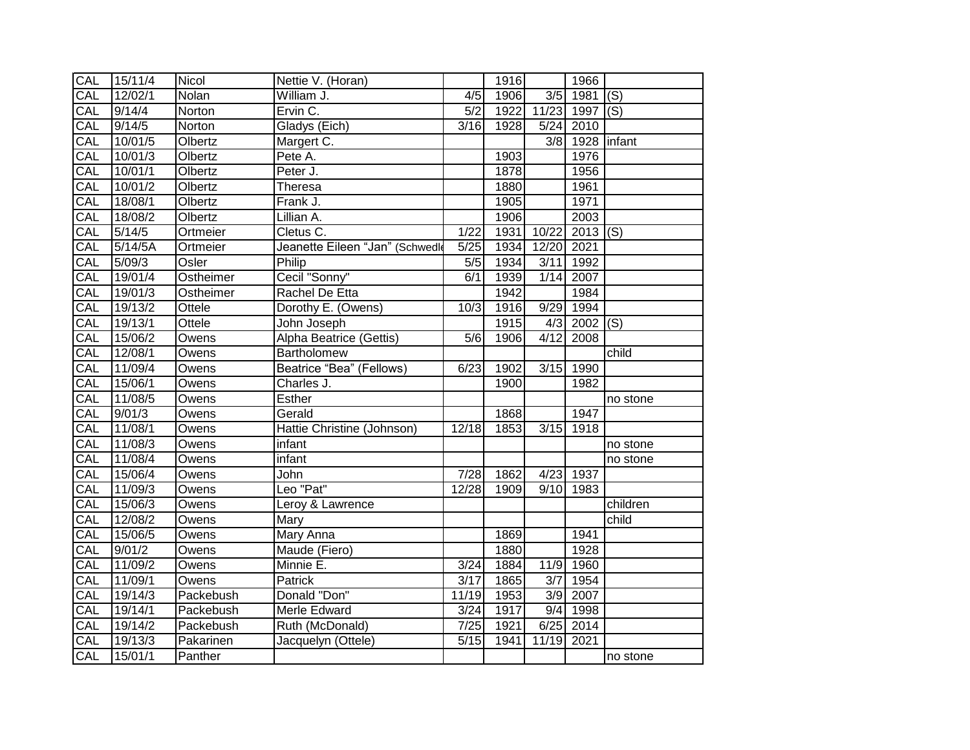| CAL        | 15/11/4              | Nicol     | Nettie V. (Horan)              |                   | 1916 |              | 1966       |          |
|------------|----------------------|-----------|--------------------------------|-------------------|------|--------------|------------|----------|
| CAL        | 12/02/1              | Nolan     | William J.                     | $\overline{4/5}$  | 1906 | 3/5          | 1981       | (s)      |
| CAL        | 9/14/4               | Norton    | Ervin C.                       | 5/2               | 1922 | 11/23        | 1997       | (S)      |
| CAL        | 9/14/5               | Norton    | Gladys (Eich)                  | 3/16              | 1928 | $5/24$       | 2010       |          |
| CAL        | 10/01/5              | Olbertz   | Margert C.                     |                   |      | 3/8          | 1928       | linfant  |
| CAL        | 10/01/3              | Olbertz   | Pete A.                        |                   | 1903 |              | 1976       |          |
| CAL        | 10/01/1              | Olbertz   | Peter J.                       |                   | 1878 |              | 1956       |          |
| CAL        | 10/01/2              | Olbertz   | Theresa                        |                   | 1880 |              | 1961       |          |
| CAL        | 18/08/1              | Olbertz   | Frank J.                       |                   | 1905 |              | 1971       |          |
| CAL        | 18/08/2              | Olbertz   | Lillian A.                     |                   | 1906 |              | 2003       |          |
| CAL        | 5/14/5               | Ortmeier  | Cletus C.                      | 1/22              | 1931 | 10/22        | $2013$ (S) |          |
| <b>CAL</b> | $\overline{5}/14/5A$ | Ortmeier  | Jeanette Eileen "Jan" (Schwedk | 5/25              | 1934 | 12/20        | 2021       |          |
| CAL        | 5/09/3               | Osler     | Philip                         | 5/5               | 1934 | 3/11         | 1992       |          |
| CAL        | 19/01/4              | Ostheimer | Cecil "Sonny"                  | 6/1               | 1939 | 1/14         | 2007       |          |
| CAL        | 19/01/3              | Ostheimer | Rachel De Etta                 |                   | 1942 |              | 1984       |          |
| CAL        | 19/13/2              | Ottele    | Dorothy E. (Owens)             | 10/3              | 1916 | 9/29         | 1994       |          |
| CAL        | 19/13/1              | Ottele    | John Joseph                    |                   | 1915 | $\sqrt{4/3}$ | 2002       | (S)      |
| CAL        | 15/06/2              | Owens     | Alpha Beatrice (Gettis)        | $\overline{5/6}$  | 1906 | 4/12         | 2008       |          |
| CAL        | 12/08/1              | Owens     | Bartholomew                    |                   |      |              |            | child    |
| CAL        | 11/09/4              | Owens     | Beatrice "Bea" (Fellows)       | 6/23              | 1902 | 3/15         | 1990       |          |
| CAL        | 15/06/1              | Owens     | Charles J.                     |                   | 1900 |              | 1982       |          |
| CAL        | 11/08/5              | Owens     | Esther                         |                   |      |              |            | no stone |
| CAL        | 9/01/3               | Owens     | Gerald                         |                   | 1868 |              | 1947       |          |
| CAL        | 11/08/1              | Owens     | Hattie Christine (Johnson)     | 12/18             | 1853 | 3/15         | 1918       |          |
| CAL        | 11/08/3              | Owens     | infant                         |                   |      |              |            | no stone |
| CAL        | 11/08/4              | Owens     | infant                         |                   |      |              |            | no stone |
| CAL        | 15/06/4              | Owens     | John                           | $\overline{7/28}$ | 1862 | 4/23         | 1937       |          |
| CAL        | 11/09/3              | Owens     | Leo "Pat"                      | 12/28             | 1909 | 9/10         | 1983       |          |
| CAL        | 15/06/3              | Owens     | Leroy & Lawrence               |                   |      |              |            | children |
| CAL        | 12/08/2              | Owens     | Mary                           |                   |      |              |            | child    |
| CAL        | 15/06/5              | Owens     | Mary Anna                      |                   | 1869 |              | 1941       |          |
| CAL        | 9/01/2               | Owens     | Maude (Fiero)                  |                   | 1880 |              | 1928       |          |
| CAL        | 11/09/2              | Owens     | Minnie E.                      | 3/24              | 1884 | 11/9         | 1960       |          |
| CAL        | 11/09/1              | Owens     | Patrick                        | 3/17              | 1865 | 3/7          | 1954       |          |
| CAL        | 19/14/3              | Packebush | Donald "Don"                   | 11/19             | 1953 | 3/9          | 2007       |          |
| CAL        | 19/14/1              | Packebush | Merle Edward                   | 3/24              | 1917 | 9/4          | 1998       |          |
| CAL        | 19/14/2              | Packebush | Ruth (McDonald)                | 7/25              | 1921 | 6/25         | 2014       |          |
| CAL        | 19/13/3              | Pakarinen | Jacquelyn (Ottele)             | 5/15              | 1941 | 11/19        | 2021       |          |
| CAL        | 15/01/1              | Panther   |                                |                   |      |              |            | no stone |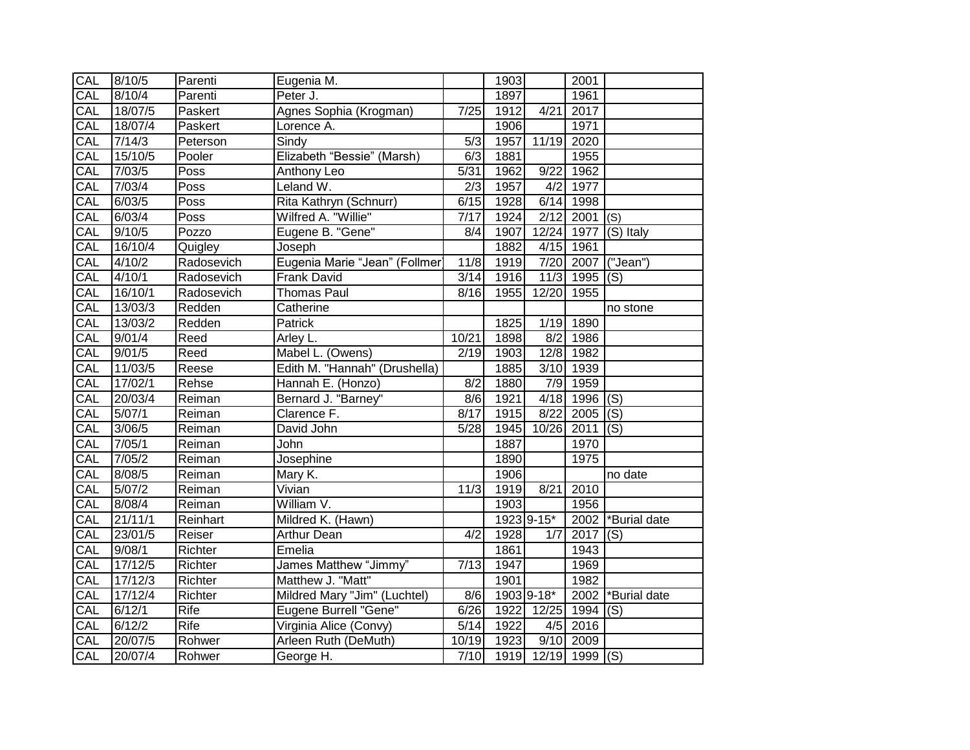| CAL        | 8/10/5  | Parenti     | Eugenia M.                    |                  | 1903 |                     | 2001               |                |
|------------|---------|-------------|-------------------------------|------------------|------|---------------------|--------------------|----------------|
| CAL        | 8/10/4  | Parenti     | Peter J.                      |                  | 1897 |                     | 1961               |                |
| CAL        | 18/07/5 | Paskert     | Agnes Sophia (Krogman)        | 7/25             | 1912 | 4/21                | 2017               |                |
| CAL        | 18/07/4 | Paskert     | Lorence A.                    |                  | 1906 |                     | 1971               |                |
| CAL        | 7/14/3  | Peterson    | Sindy                         | $\overline{5/3}$ | 1957 | 11/19               | 2020               |                |
| CAL        | 15/10/5 | Pooler      | Elizabeth "Bessie" (Marsh)    | 6/3              | 1881 |                     | 1955               |                |
| CAL        | 7/03/5  | Poss        | Anthony Leo                   | 5/31             | 1962 | 9/22                | 1962               |                |
| CAL        | 7/03/4  | Poss        | Leland W.                     | 2/3              | 1957 | 4/2                 | 1977               |                |
| CAL        | 6/03/5  | Poss        | Rita Kathryn (Schnurr)        | 6/15             | 1928 | 6/14                | 1998               |                |
| CAL        | 6/03/4  | Poss        | Wilfred A. "Willie"           | 7/17             | 1924 | 2/12                | $2001$ (S)         |                |
| CAL        | 9/10/5  | Pozzo       | Eugene B. "Gene"              | 8/4              | 1907 |                     | 12/24 1977         | $(S)$ Italy    |
| CAL        | 16/10/4 | Quigley     | Joseph                        |                  | 1882 |                     | 4/15 1961          |                |
| CAL        | 4/10/2  | Radosevich  | Eugenia Marie "Jean" (Follmer | 11/8             | 1919 |                     | 7/20 2007          | ("Jean")       |
| CAL        | 4/10/1  | Radosevich  | Frank David                   | 3/14             | 1916 | 11/3                | 1995               | (S)            |
| CAL        | 16/10/1 | Radosevich  | <b>Thomas Paul</b>            | 8/16             | 1955 | 12/20               | 1955               |                |
| CAL        | 13/03/3 | Redden      | Catherine                     |                  |      |                     |                    | no stone       |
| CAL        | 13/03/2 | Redden      | Patrick                       |                  | 1825 | 1/19                | 1890               |                |
| CAL        | 9/01/4  | Reed        | Arley L.                      | 10/21            | 1898 | 8/2                 | 1986               |                |
| CAL        | 9/01/5  | Reed        | Mabel L. (Owens)              | 2/19             | 1903 |                     | 12/8 1982          |                |
| CAL        | 11/03/5 | Reese       | Edith M. "Hannah" (Drushella) |                  | 1885 | 3/10                | 1939               |                |
| CAL        | 17/02/1 | Rehse       | Hannah E. (Honzo)             | 8/2              | 1880 | 7/9                 | 1959               |                |
| CAL        | 20/03/4 | Reiman      | Bernard J. "Barney"           | $\frac{8}{6}$    | 1921 | 4/18                | $1996$ (S)         |                |
| CAL        | 5/07/1  | Reiman      | Clarence F.                   | 8/17             | 1915 | 8/22                | 2005               | $\overline{S}$ |
| CAL        | 3/06/5  | Reiman      | David John                    | 5/28             | 1945 | 10/26               | $\overline{2011}$  | (S)            |
| CAL        | 7/05/1  | Reiman      | John                          |                  | 1887 |                     | 1970               |                |
| CAL        | 7/05/2  | Reiman      | Josephine                     |                  | 1890 |                     | 1975               |                |
| CAL        | 8/08/5  | Reiman      | Mary K.                       |                  | 1906 |                     |                    | no date        |
| CAL        | 5/07/2  | Reiman      | Vivian                        | 11/3             | 1919 | 8/21                | 2010               |                |
| <b>CAL</b> | 8/08/4  | Reiman      | William V.                    |                  | 1903 |                     | 1956               |                |
| CAL        | 21/11/1 | Reinhart    | Mildred K. (Hawn)             |                  |      | 1923 9-15*          | 2002               | *Burial date   |
| CAL        | 23/01/5 | Reiser      | <b>Arthur Dean</b>            | 4/2              | 1928 | 1/7                 | 2017               | (S)            |
| CAL        | 9/08/1  | Richter     | Emelia                        |                  | 1861 |                     | 1943               |                |
| CAL        | 17/12/5 | Richter     | James Matthew "Jimmy"         | 7/13             | 1947 |                     | 1969               |                |
| CAL        | 17/12/3 | Richter     | Matthew J. "Matt"             |                  | 1901 |                     | 1982               |                |
| CAL        | 17/12/4 | Richter     | Mildred Mary "Jim" (Luchtel)  | 8/6              |      | 1903 9-18*          | 2002               | *Burial date   |
| CAL        | 6/12/1  | Rife        | Eugene Burrell "Gene"         | 6/26             | 1922 | 12/25               | 1994               | (S)            |
| CAL        | 6/12/2  | <b>Rife</b> | Virginia Alice (Convy)        | 5/14             | 1922 | 4/5                 | 2016               |                |
| CAL        | 20/07/5 | Rohwer      | Arleen Ruth (DeMuth)          | 10/19            | 1923 |                     | $\sqrt{9/10}$ 2009 |                |
| CAL        | 20/07/4 | Rohwer      | George H.                     | 7/10             |      | 1919 12/19 1999 (S) |                    |                |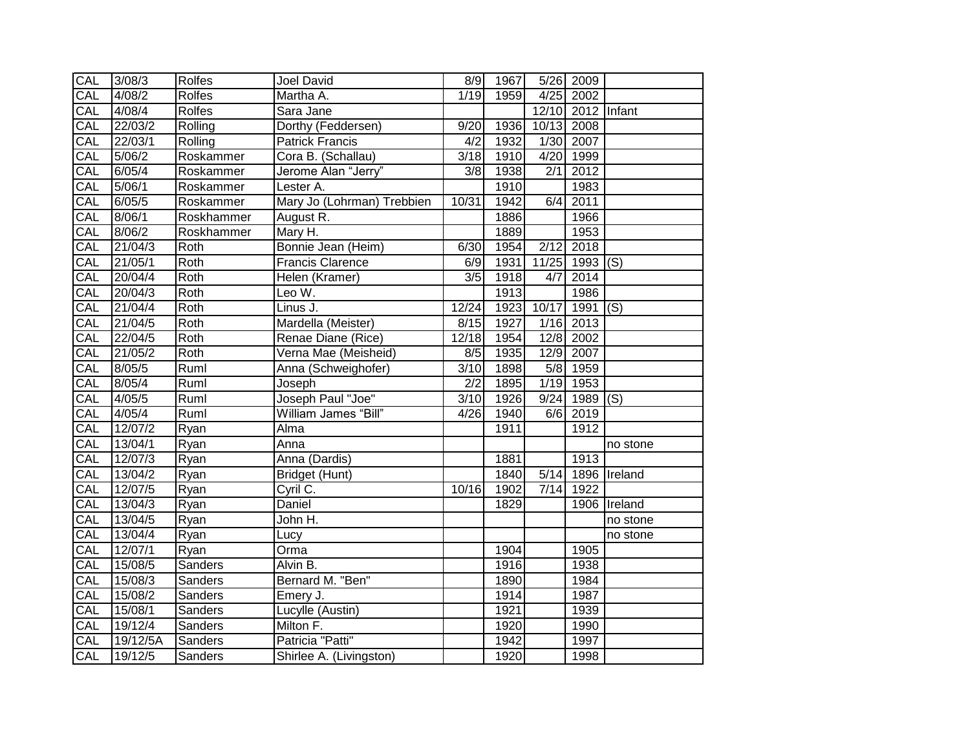| CAL        | 3/08/3             | Rolfes        | <b>Joel David</b>          | 8/9               | 1967 |            | 5/26 2009         |              |
|------------|--------------------|---------------|----------------------------|-------------------|------|------------|-------------------|--------------|
| CAL        | 4/08/2             | <b>Rolfes</b> | Martha A.                  | 1/19              | 1959 |            | $4/25$ 2002       |              |
| CAL        | 4/08/4             | Rolfes        | Sara Jane                  |                   |      |            | 12/10 2012 Infant |              |
| CAL        | 22/03/2            | Rolling       | Dorthy (Feddersen)         | 9/20              | 1936 | 10/13 2008 |                   |              |
| CAL        | 22/03/1            | Rolling       | <b>Patrick Francis</b>     | 4/2               | 1932 |            | 1/30 2007         |              |
| CAL        | $\frac{1}{5/06/2}$ | Roskammer     | Cora B. (Schallau)         | 3/18              | 1910 | 4/20       | 1999              |              |
| CAL        | 6/05/4             | Roskammer     | Jerome Alan "Jerry"        | 3/8               | 1938 | 2/1        | 2012              |              |
| CAL        | 5/06/1             | Roskammer     | Lester A.                  |                   | 1910 |            | 1983              |              |
| CAL        | 6/05/5             | Roskammer     | Mary Jo (Lohrman) Trebbien | 10/31             | 1942 | 6/4        | 2011              |              |
| CAL        | 8/06/1             | Roskhammer    | August R.                  |                   | 1886 |            | 1966              |              |
| CAL        | 8/06/2             | Roskhammer    | Mary H.                    |                   | 1889 |            | 1953              |              |
| <b>CAL</b> | 21/04/3            | Roth          | Bonnie Jean (Heim)         | 6/30              | 1954 | 2/12       | 2018              |              |
| CAL        | 21/05/1            | Roth          | <b>Francis Clarence</b>    | 6/9               | 1931 | 11/25      | 1993 (S)          |              |
| CAL        | 20/04/4            | Roth          | Helen (Kramer)             | $\overline{3/5}$  | 1918 | 4/7        | 2014              |              |
| CAL        | 20/04/3            | Roth          | Leo W.                     |                   | 1913 |            | 1986              |              |
| CAL        | 21/04/4            | Roth          | Linus J.                   | 12/24             | 1923 | 10/17      | $1991$ (S)        |              |
| CAL        | 21/04/5            | Roth          | Mardella (Meister)         | 8/15              | 1927 |            | $1/16$ 2013       |              |
| CAL        | 22/04/5            | Roth          | Renae Diane (Rice)         | 12/18             | 1954 |            | 12/8 2002         |              |
| CAL        | 21/05/2            | Roth          | Verna Mae (Meisheid)       | 8/5               | 1935 | 12/9       | 2007              |              |
| CAL        | 8/05/5             | Ruml          | Anna (Schweighofer)        | $\frac{3}{10}$    | 1898 | 5/8        | 1959              |              |
| CAL        | 8/05/4             | Ruml          | Joseph                     | $\overline{2/2}$  | 1895 |            | $1/19$ 1953       |              |
| CAL        | 4/05/5             | Ruml          | Joseph Paul "Joe"          | $\overline{3/10}$ | 1926 | 9/24       | $1989$ (S)        |              |
| CAL        | 4/05/4             | Ruml          | William James "Bill"       | 4/26              | 1940 |            | $6/6$ 2019        |              |
| CAL        | 12/07/2            | Ryan          | Alma                       |                   | 1911 |            | 1912              |              |
| CAL        | 13/04/1            | Ryan          | Anna                       |                   |      |            |                   | no stone     |
| CAL        | 12/07/3            | Ryan          | Anna (Dardis)              |                   | 1881 |            | 1913              |              |
| CAL        | 13/04/2            | Ryan          | Bridget (Hunt)             |                   | 1840 | 5/14       |                   | 1896 Ireland |
| CAL        | 12/07/5            | Ryan          | Cyril C.                   | 10/16             | 1902 | 7/14       | 1922              |              |
| CAL        | 13/04/3            | Ryan          | Daniel                     |                   | 1829 |            |                   | 1906 Ireland |
| CAL        | 13/04/5            | Ryan          | John H.                    |                   |      |            |                   | no stone     |
| CAL        | 13/04/4            | Ryan          | Lucy                       |                   |      |            |                   | no stone     |
| CAL        | 12/07/1            | Ryan          | Orma                       |                   | 1904 |            | 1905              |              |
| CAL        | 15/08/5            | Sanders       | Alvin B.                   |                   | 1916 |            | 1938              |              |
| CAL        | 15/08/3            | Sanders       | Bernard M. "Ben"           |                   | 1890 |            | 1984              |              |
| CAL        | 15/08/2            | Sanders       | Emery J.                   |                   | 1914 |            | 1987              |              |
| CAL        | 15/08/1            | Sanders       | Lucylle (Austin)           |                   | 1921 |            | 1939              |              |
| CAL        | 19/12/4            | Sanders       | Milton F.                  |                   | 1920 |            | 1990              |              |
| CAL        | 19/12/5A           | Sanders       | Patricia "Patti"           |                   | 1942 |            | 1997              |              |
| CAL        | 19/12/5            | Sanders       | Shirlee A. (Livingston)    |                   | 1920 |            | 1998              |              |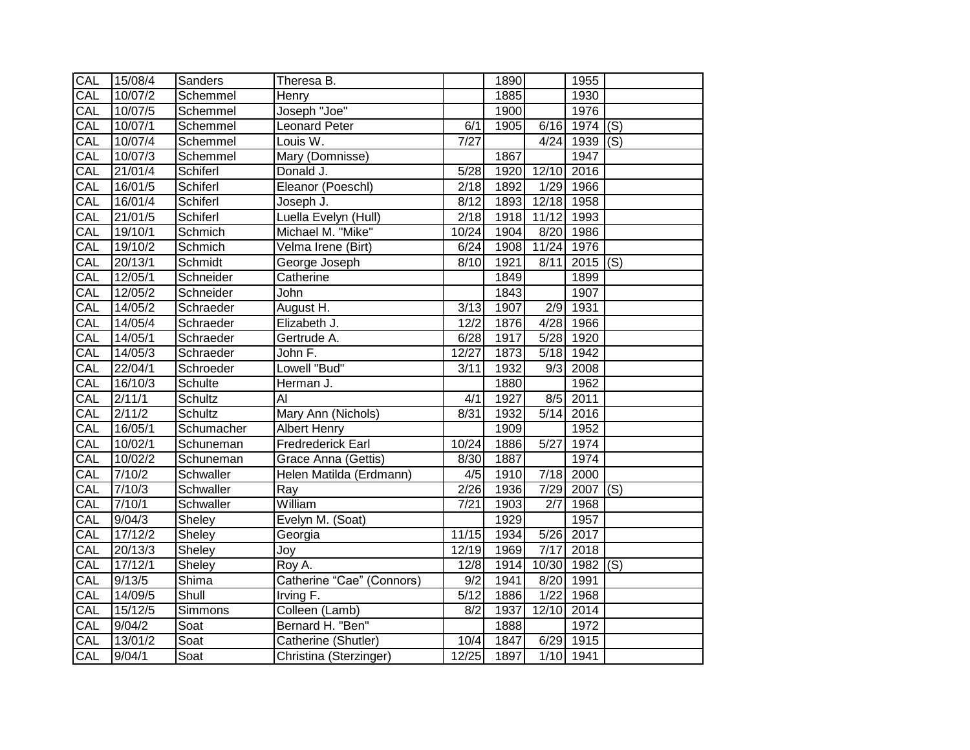| CAL        | 15/08/4 | Sanders        | Theresa B.                |                   | 1890 |                   | 1955            |  |
|------------|---------|----------------|---------------------------|-------------------|------|-------------------|-----------------|--|
| CAL        | 10/07/2 | Schemmel       | Henry                     |                   | 1885 |                   | 1930            |  |
| CAL        | 10/07/5 | Schemmel       | Joseph "Joe"              |                   | 1900 |                   | 1976            |  |
| CAL        | 10/07/1 | Schemmel       | <b>Leonard Peter</b>      | 6/1               | 1905 |                   | $6/16$ 1974 (S) |  |
| CAL        | 10/07/4 | Schemmel       | Louis W.                  | $\overline{7/27}$ |      |                   | $4/24$ 1939 (S) |  |
| CAL        | 10/07/3 | Schemmel       | Mary (Domnisse)           |                   | 1867 |                   | 1947            |  |
| CAL        | 21/01/4 | Schiferl       | Donald J.                 | 5/28              | 1920 | 12/10             | 2016            |  |
| CAL        | 16/01/5 | Schiferl       | Eleanor (Poeschl)         | 2/18              | 1892 | 1/29              | 1966            |  |
| CAL        | 16/01/4 | Schiferl       | Joseph J.                 | 8/12              | 1893 | 12/18 1958        |                 |  |
| CAL        | 21/01/5 | Schiferl       | Luella Evelyn (Hull)      | $\overline{2}/18$ | 1918 | 11/12             | 1993            |  |
| CAL        | 19/10/1 | Schmich        | Michael M. "Mike"         | 10/24             | 1904 | 8/20              | 1986            |  |
| CAL        | 19/10/2 | Schmich        | Velma Irene (Birt)        | 6/24              | 1908 | 11/24             | 1976            |  |
| CAL        | 20/13/1 | Schmidt        | George Joseph             | 8/10              | 1921 | 8/11              | $2015$ (S)      |  |
| CAL        | 12/05/1 | Schneider      | Catherine                 |                   | 1849 |                   | 1899            |  |
| CAL        | 12/05/2 | Schneider      | John                      |                   | 1843 |                   | 1907            |  |
| CAL        | 14/05/2 | Schraeder      | August H.                 | 3/13              | 1907 | 2/9               | 1931            |  |
| <b>CAL</b> | 14/05/4 | Schraeder      | Elizabeth J.              | 12/2              | 1876 |                   | 4/28 1966       |  |
| <b>CAL</b> | 14/05/1 | Schraeder      | Gertrude A.               | 6/28              | 1917 |                   | 5/28 1920       |  |
| CAL        | 14/05/3 | Schraeder      | John F.                   | 12/27             | 1873 | 5/18              | 1942            |  |
| CAL        | 22/04/1 | Schroeder      | Lowell "Bud"              | 3/11              | 1932 | 9/3               | 2008            |  |
| CAL        | 16/10/3 | Schulte        | Herman J.                 |                   | 1880 |                   | 1962            |  |
| CAL        | 2/11/1  | Schultz        | $\overline{AI}$           | 4/1               | 1927 |                   | $8/5$ 2011      |  |
| CAL        | 2/11/2  | <b>Schultz</b> | Mary Ann (Nichols)        | 8/31              | 1932 | 5/14              | 2016            |  |
| CAL        | 16/05/1 | Schumacher     | Albert Henry              |                   | 1909 |                   | 1952            |  |
| CAL        | 10/02/1 | Schuneman      | <b>Fredrederick Earl</b>  | 10/24             | 1886 | $\overline{5/27}$ | 1974            |  |
| CAL        | 10/02/2 | Schuneman      | Grace Anna (Gettis)       | 8/30              | 1887 |                   | 1974            |  |
| CAL        | 7/10/2  | Schwaller      | Helen Matilda (Erdmann)   | 4/5               | 1910 |                   | 7/18 2000       |  |
| CAL        | 7/10/3  | Schwaller      | $\overline{Ray}$          | 2/26              | 1936 |                   | $7/29$ 2007 (S) |  |
| CAL        | 7/10/1  | Schwaller      | William                   | 7/21              | 1903 | 2/7               | 1968            |  |
| CAL        | 9/04/3  | Sheley         | Evelyn M. (Soat)          |                   | 1929 |                   | 1957            |  |
| CAL        | 17/12/2 | Sheley         | Georgia                   | 11/15             | 1934 | 5/26              | 2017            |  |
| CAL        | 20/13/3 | Sheley         | Joy                       | 12/19             | 1969 | 7/17              | 2018            |  |
| CAL        | 17/12/1 | Sheley         | Roy A.                    | 12/8              | 1914 | 10/30             | 1982 $ (S)$     |  |
| CAL        | 9/13/5  | Shima          | Catherine "Cae" (Connors) | 9/2               | 1941 | 8/20              | 1991            |  |
| CAL        | 14/09/5 | Shull          | Irving F.                 | 5/12              | 1886 | 1/22              | 1968            |  |
| CAL        | 15/12/5 | Simmons        | Colleen (Lamb)            | 8/2               | 1937 | 12/10             | 2014            |  |
| CAL        | 9/04/2  | Soat           | Bernard H. "Ben"          |                   | 1888 |                   | 1972            |  |
| CAL        | 13/01/2 | Soat           | Catherine (Shutler)       | 10/4              | 1847 | 6/29              | 1915            |  |
| CAL        | 9/04/1  | Soat           | Christina (Sterzinger)    | 12/25             | 1897 |                   | 1/10 1941       |  |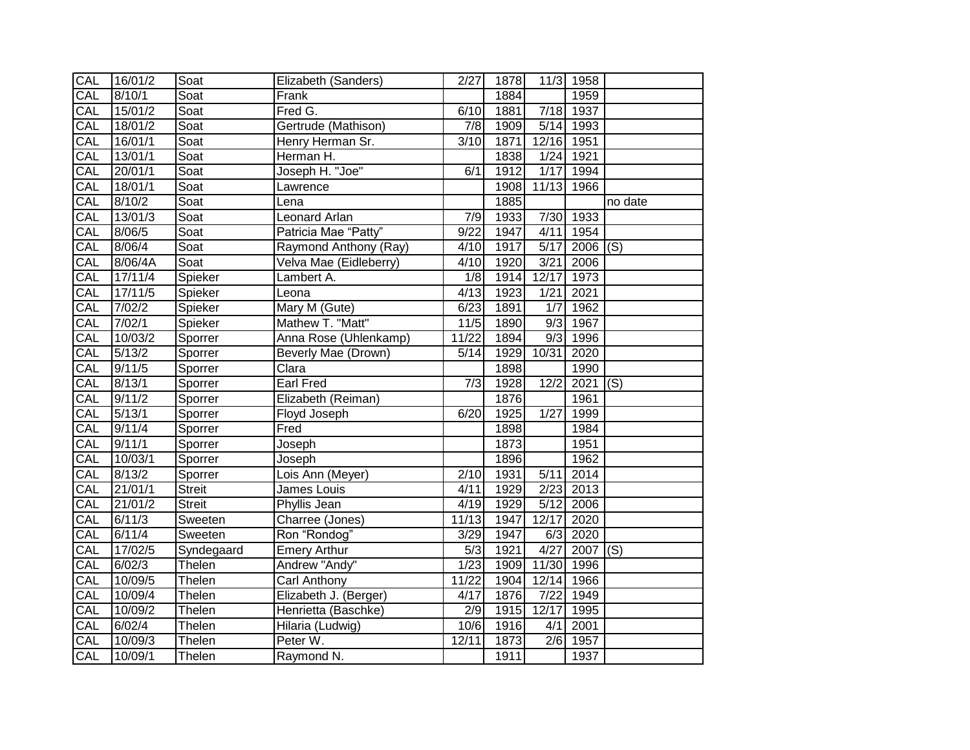| CAL | 16/01/2 | Soat          | Elizabeth (Sanders)    | 2/27             | 1878 |                   | 11/3 1958             |         |
|-----|---------|---------------|------------------------|------------------|------|-------------------|-----------------------|---------|
| CAL | 8/10/1  | Soat          | Frank                  |                  | 1884 |                   | 1959                  |         |
| CAL | 15/01/2 | Soat          | Fred G.                | 6/10             | 1881 | 7/18              | 1937                  |         |
| CAL | 18/01/2 | Soat          | Gertrude (Mathison)    | 7/8              | 1909 | 5/14              | 1993                  |         |
| CAL | 16/01/1 | Soat          | Henry Herman Sr.       | 3/10             | 1871 | 12/16             | 1951                  |         |
| CAL | 13/01/1 | Soat          | Herman H.              |                  | 1838 | 1/24              | 1921                  |         |
| CAL | 20/01/1 | Soat          | Joseph H. "Joe"        | 6/1              | 1912 | 1/17              | 1994                  |         |
| CAL | 18/01/1 | Soat          | Lawrence               |                  | 1908 | 11/13             | 1966                  |         |
| CAL | 8/10/2  | Soat          | Lena                   |                  | 1885 |                   |                       | no date |
| CAL | 13/01/3 | Soat          | Leonard Arlan          | 7/9              | 1933 | 7/30              | 1933                  |         |
| CAL | 8/06/5  | Soat          | Patricia Mae "Patty"   | 9/22             | 1947 | 4/11              | 1954                  |         |
| CAL | 8/06/4  | Soat          | Raymond Anthony (Ray)  | 4/10             | 1917 | 5/17              | $2006$ (S)            |         |
| CAL | 8/06/4A | Soat          | Velva Mae (Eidleberry) | 4/10             | 1920 | 3/21              | 2006                  |         |
| CAL | 17/11/4 | Spieker       | Lambert A.             | $\overline{1/8}$ | 1914 | 12/17             | 1973                  |         |
| CAL | 17/11/5 | Spieker       | Leona                  | 4/13             | 1923 | 1/21              | 2021                  |         |
| CAL | 7/02/2  | Spieker       | Mary M (Gute)          | 6/23             | 1891 | $\overline{1/7}$  | 1962                  |         |
| CAL | 7/02/1  | Spieker       | Mathew T. "Matt"       | 11/5             | 1890 | 9/3               | 1967                  |         |
| CAL | 10/03/2 | Sporrer       | Anna Rose (Uhlenkamp)  | 11/22            | 1894 | 9/3               | 1996                  |         |
| CAL | 5/13/2  | Sporrer       | Beverly Mae (Drown)    | 5/14             | 1929 | 10/31             | 2020                  |         |
| CAL | 9/11/5  | Sporrer       | Clara                  |                  | 1898 |                   | 1990                  |         |
| CAL | 8/13/1  | Sporrer       | <b>Earl Fred</b>       | 7/3              | 1928 | 12/2              | $\overline{2021}$ (S) |         |
| CAL | 9/11/2  | Sporrer       | Elizabeth (Reiman)     |                  | 1876 |                   | 1961                  |         |
| CAL | 5/13/1  | Sporrer       | Floyd Joseph           | 6/20             | 1925 | 1/27              | 1999                  |         |
| CAL | 9/11/4  | Sporrer       | Fred                   |                  | 1898 |                   | 1984                  |         |
| CAL | 9/11/1  | Sporrer       | Joseph                 |                  | 1873 |                   | 1951                  |         |
| CAL | 10/03/1 | Sporrer       | Joseph                 |                  | 1896 |                   | 1962                  |         |
| CAL | 8/13/2  | Sporrer       | Lois Ann (Meyer)       | 2/10             | 1931 | 5/11              | 2014                  |         |
| CAL | 21/01/1 | <b>Streit</b> | James Louis            | 4/11             | 1929 | 2/23              | 2013                  |         |
| CAL | 21/01/2 | <b>Streit</b> | Phyllis Jean           | 4/19             | 1929 | $\overline{5/12}$ | 2006                  |         |
| CAL | 6/11/3  | Sweeten       | Charree (Jones)        | 11/13            | 1947 | 12/17             | 2020                  |         |
| CAL | 6/11/4  | Sweeten       | Ron "Rondog"           | 3/29             | 1947 | 6/3               | 2020                  |         |
| CAL | 17/02/5 | Syndegaard    | <b>Emery Arthur</b>    | 5/3              | 1921 | 4/27              | $2007$ (S)            |         |
| CAL | 6/02/3  | Thelen        | Andrew "Andy"          | 1/23             | 1909 | 11/30             | 1996                  |         |
| CAL | 10/09/5 | Thelen        | <b>Carl Anthony</b>    | 11/22            | 1904 | 12/14             | 1966                  |         |
| CAL | 10/09/4 | Thelen        | Elizabeth J. (Berger)  | 4/17             | 1876 | $\frac{1}{7}{22}$ | 1949                  |         |
| CAL | 10/09/2 | Thelen        | Henrietta (Baschke)    | 2/9              | 1915 | 12/17             | 1995                  |         |
| CAL | 6/02/4  | Thelen        | Hilaria (Ludwig)       | 10/6             | 1916 | 4/1               | 2001                  |         |
| CAL | 10/09/3 | Thelen        | Peter W.               | 12/11            | 1873 | 2/6               | 1957                  |         |
| CAL | 10/09/1 | Thelen        | Raymond N.             |                  | 1911 |                   | 1937                  |         |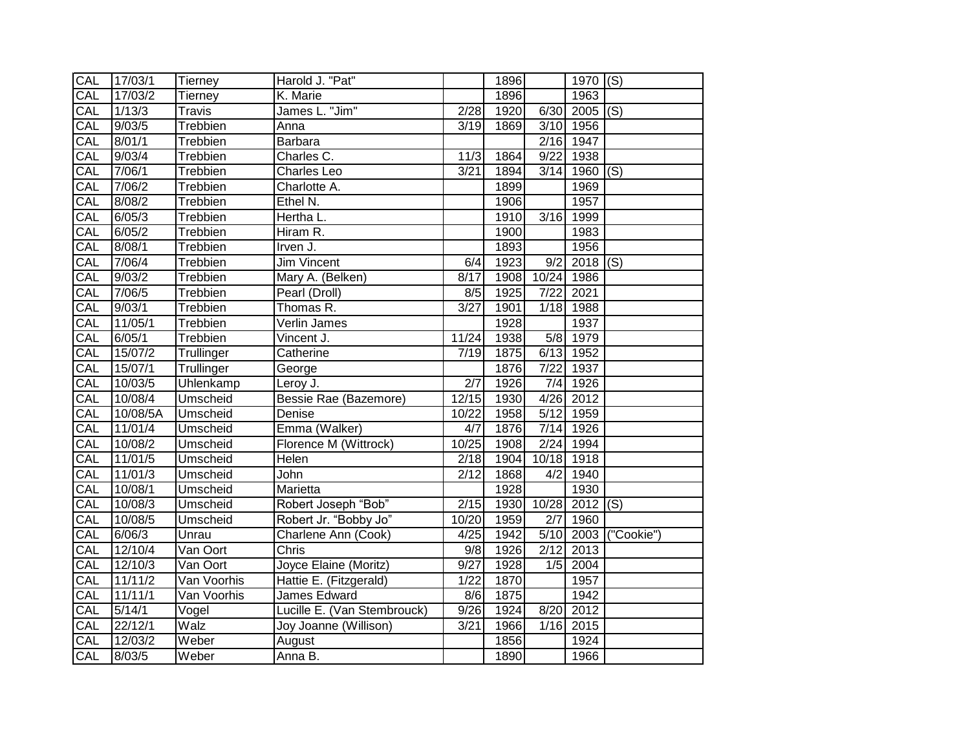| CAL        | 17/03/1  | Tierney                  | Harold J. "Pat"             |               | 1896 |                   | 1970 $(S)$      |                      |
|------------|----------|--------------------------|-----------------------------|---------------|------|-------------------|-----------------|----------------------|
| CAL        | 17/03/2  | Tierney                  | K. Marie                    |               | 1896 |                   | 1963            |                      |
| CAL        | 1/13/3   | <b>Travis</b>            | James L. "Jim"              | 2/28          | 1920 |                   | $6/30$ 2005 (S) |                      |
| CAL        | 9/03/5   | Trebbien                 | Anna                        | 3/19          | 1869 |                   | 3/10 1956       |                      |
| CAL        | 8/01/1   | Trebbien                 | Barbara                     |               |      |                   | 2/16 1947       |                      |
| CAL        | 9/03/4   | Trebbien                 | Charles C.                  | 11/3          | 1864 | 9/22              | 1938            |                      |
| CAL        | 7/06/1   | Trebbien                 | <b>Charles Leo</b>          | 3/21          | 1894 | 3/14              | 1960            | (S)                  |
| CAL        | 7/06/2   | Trebbien                 | Charlotte A.                |               | 1899 |                   | 1969            |                      |
| CAL        | 8/08/2   | Trebbien                 | Ethel N.                    |               | 1906 |                   | 1957            |                      |
| CAL        | 6/05/3   | Trebbien                 | Hertha L.                   |               | 1910 | 3/16              | 1999            |                      |
| CAL        | 6/05/2   | Trebbien                 | Hiram R.                    |               | 1900 |                   | 1983            |                      |
| CAL        | 8/08/1   | Trebbien                 | Irven J.                    |               | 1893 |                   | 1956            |                      |
| CAL        | 7/06/4   | Trebbien                 | <b>Jim Vincent</b>          | 6/4           | 1923 | 9/2               | $2018$ (S)      |                      |
| CAL        | 9/03/2   | Trebbien                 | Mary A. (Belken)            | 8/17          | 1908 | 10/24             | 1986            |                      |
| CAL        | 7/06/5   | Trebbien                 | Pearl (Droll)               | 8/5           | 1925 | $\frac{1}{7}{22}$ | 2021            |                      |
| CAL        | 9/03/1   | Trebbien                 | Thomas R.                   | 3/27          | 1901 | 1/18              | 1988            |                      |
| <b>CAL</b> | 11/05/1  | Trebbien                 | Verlin James                |               | 1928 |                   | 1937            |                      |
| CAL        | 6/05/1   | Trebbien                 | Vincent J.                  | 11/24         | 1938 | 5/8               | 1979            |                      |
| CAL        | 15/07/2  | Trullinger               | Catherine                   | 7/19          | 1875 | 6/13              | 1952            |                      |
| CAL        | 15/07/1  | Trullinger               | George                      |               | 1876 | $\overline{7/22}$ | 1937            |                      |
| CAL        | 10/03/5  | Uhlenkamp                | Leroy J.                    | 2/7           | 1926 | 7/4               | 1926            |                      |
| CAL        | 10/08/4  | Umscheid                 | Bessie Rae (Bazemore)       | 12/15         | 1930 | 4/26              | 2012            |                      |
| CAL        | 10/08/5A | Umscheid                 | Denise                      | 10/22         | 1958 | $\overline{5/12}$ | 1959            |                      |
| CAL        | 11/01/4  | Umscheid                 | Emma (Walker)               | 4/7           | 1876 | 7/14              | 1926            |                      |
| CAL        | 10/08/2  | Umscheid                 | Florence M (Wittrock)       | 10/25         | 1908 | 2/24              | 1994            |                      |
| CAL        | 11/01/5  | Umscheid                 | Helen                       | 2/18          | 1904 | 10/18             | 1918            |                      |
| CAL        | 11/01/3  | Umscheid                 | John                        | $\sqrt{2/12}$ | 1868 | 4/2               | 1940            |                      |
| CAL        | 10/08/1  | Umscheid                 | Marietta                    |               | 1928 |                   | 1930            |                      |
| CAL        | 10/08/3  | Umscheid                 | Robert Joseph "Bob"         | 2/15          | 1930 | 10/28             | 2012            | $\overline{S}$       |
| CAL        | 10/08/5  | Umscheid                 | Robert Jr. "Bobby Jo"       | 10/20         | 1959 | $\overline{2/7}$  | 1960            |                      |
| CAL        | 6/06/3   | Unrau                    | Charlene Ann (Cook)         | 4/25          | 1942 |                   |                 | 5/10 2003 ("Cookie") |
| CAL        | 12/10/4  | Van Oort                 | <b>Chris</b>                | 9/8           | 1926 | 2/12              | 2013            |                      |
| CAL        | 12/10/3  | Van Oort                 | Joyce Elaine (Moritz)       | 9/27          | 1928 | 1/5               | 2004            |                      |
| CAL        | 11/11/2  | Van Voorhis              | Hattie E. (Fitzgerald)      | 1/22          | 1870 |                   | 1957            |                      |
| CAL        | 11/11/1  | Van Voorhis              | James Edward                | $\frac{8}{6}$ | 1875 |                   | 1942            |                      |
| CAL        | 5/14/1   | Vogel                    | Lucille E. (Van Stembrouck) | 9/26          | 1924 | 8/20              | 2012            |                      |
| CAL        | 22/12/1  | $\overline{\text{Walz}}$ | Joy Joanne (Willison)       | 3/21          | 1966 | 1/16              | 2015            |                      |
| CAL        | 12/03/2  | Weber                    | August                      |               | 1856 |                   | 1924            |                      |
| CAL        | 8/03/5   | Weber                    | Anna B.                     |               | 1890 |                   | 1966            |                      |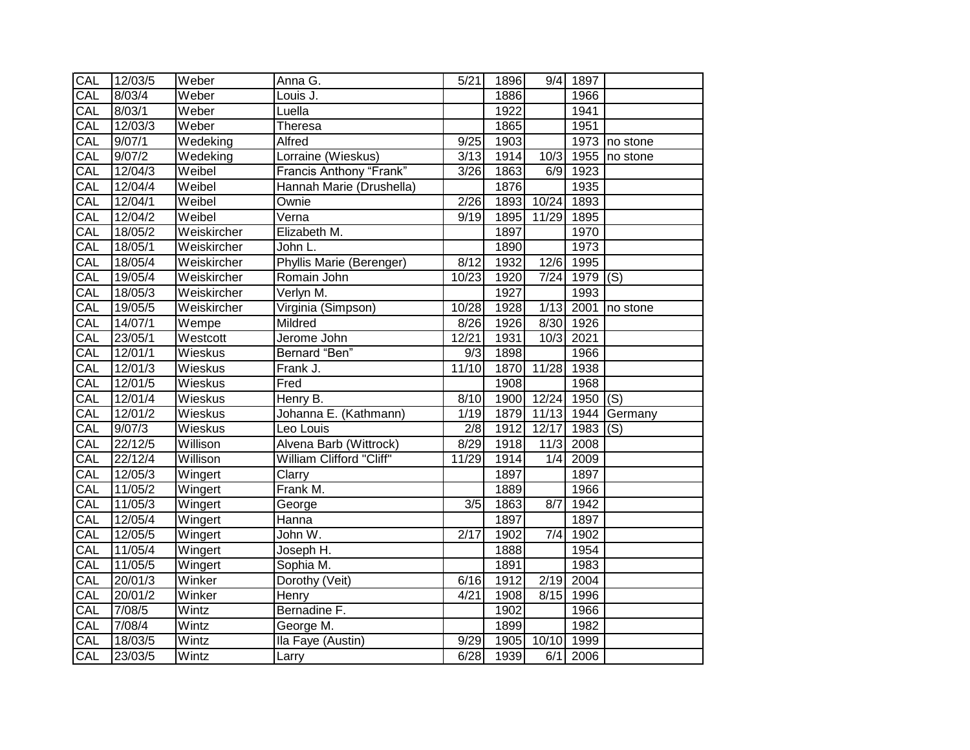| CAL        | 12/03/5 | Weber          | Anna G.                        | 5/21             | 1896             |       | 9/4 1897              |                    |
|------------|---------|----------------|--------------------------------|------------------|------------------|-------|-----------------------|--------------------|
| CAL        | 8/03/4  | Weber          | Louis J.                       |                  | 1886             |       | 1966                  |                    |
| CAL        | 8/03/1  | Weber          | Luella                         |                  | 1922             |       | 1941                  |                    |
| CAL        | 12/03/3 | Weber          | Theresa                        |                  | 1865             |       | 1951                  |                    |
| CAL        | 9/07/1  | Wedeking       | Alfred                         | 9/25             | 1903             |       |                       | 1973 no stone      |
| CAL        | 9/07/2  | Wedeking       | Lorraine (Wieskus)             | 3/13             | 1914             | 10/3  |                       | 1955 no stone      |
| CAL        | 12/04/3 | Weibel         | <b>Francis Anthony "Frank"</b> | 3/26             | 1863             | 6/9   | 1923                  |                    |
| CAL        | 12/04/4 | Weibel         | Hannah Marie (Drushella)       |                  | 1876             |       | 1935                  |                    |
| CAL        | 12/04/1 | Weibel         | Ownie                          | 2/26             | 1893             | 10/24 | 1893                  |                    |
| CAL        | 12/04/2 | Weibel         | Verna                          | 9/19             | 1895             | 11/29 | 1895                  |                    |
| CAL        | 18/05/2 | Weiskircher    | Elizabeth M.                   |                  | 1897             |       | 1970                  |                    |
| <b>CAL</b> | 18/05/1 | Weiskircher    | John L.                        |                  | 1890             |       | 1973                  |                    |
| CAL        | 18/05/4 | Weiskircher    | Phyllis Marie (Berenger)       | 8/12             | 1932             |       | 12/6 1995             |                    |
| CAL        | 19/05/4 | Weiskircher    | Romain John                    | 10/23            | 1920             | 7/24  | $\overline{1979}$ (S) |                    |
| CAL        | 18/05/3 | Weiskircher    | Verlyn M.                      |                  | 1927             |       | 1993                  |                    |
| CAL        | 19/05/5 | Weiskircher    | Virginia (Simpson)             | 10/28            | 1928             | 1/13  | 2001                  | no stone           |
| CAL        | 14/07/1 | Wempe          | Mildred                        | 8/26             | 1926             | 8/30  | 1926                  |                    |
| CAL        | 23/05/1 | Westcott       | Jerome John                    | 12/21            | 1931             |       | 10/3 2021             |                    |
| CAL        | 12/01/1 | Wieskus        | Bernard "Ben"                  | $\overline{9/3}$ | 1898             |       | 1966                  |                    |
| CAL        | 12/01/3 | <b>Wieskus</b> | Frank J.                       | 11/10            | 1870             | 11/28 | 1938                  |                    |
| CAL        | 12/01/5 | Wieskus        | Fred                           |                  | 1908             |       | 1968                  |                    |
| CAL        | 12/01/4 | <b>Wieskus</b> | Henry B.                       | 8/10             | 1900             | 12/24 | $1950$ (S)            |                    |
| CAL        | 12/01/2 | Wieskus        | Johanna E. (Kathmann)          | 1/19             | 1879             |       |                       | 11/13 1944 Germany |
| CAL        | 9/07/3  | Wieskus        | Leo Louis                      | $\overline{2/8}$ | 1912             | 12/17 | $1983$ (S)            |                    |
| CAL        | 22/12/5 | Willison       | Alvena Barb (Wittrock)         | 8/29             | 1918             | 11/3  | 2008                  |                    |
| CAL        | 22/12/4 | Willison       | William Clifford "Cliff"       | 11/29            | 1914             | 1/4   | 2009                  |                    |
| CAL        | 12/05/3 | Wingert        | Clarry                         |                  | $\frac{1}{1897}$ |       | 1897                  |                    |
| CAL        | 11/05/2 | Wingert        | Frank M.                       |                  | 1889             |       | 1966                  |                    |
| CAL        | 11/05/3 | Wingert        | George                         | $\overline{3/5}$ | 1863             | 8/7   | 1942                  |                    |
| CAL        | 12/05/4 | Wingert        | Hanna                          |                  | 1897             |       | 1897                  |                    |
| CAL        | 12/05/5 | Wingert        | John W.                        | 2/17             | 1902             | 7/4   | 1902                  |                    |
| CAL        | 11/05/4 | Wingert        | Joseph H.                      |                  | 1888             |       | 1954                  |                    |
| CAL        | 11/05/5 | Wingert        | Sophia M.                      |                  | 1891             |       | 1983                  |                    |
| CAL        | 20/01/3 | Winker         | Dorothy (Veit)                 | 6/16             | 1912             |       | 2/19 2004             |                    |
| CAL        | 20/01/2 | Winker         | Henry                          | 4/21             | 1908             | 8/15  | 1996                  |                    |
| CAL        | 7/08/5  | Wintz          | Bernadine F.                   |                  | 1902             |       | 1966                  |                    |
| CAL        | 7/08/4  | Wintz          | George M.                      |                  | 1899             |       | 1982                  |                    |
| CAL        | 18/03/5 | Wintz          | Ila Faye (Austin)              | 9/29             | 1905             | 10/10 | 1999                  |                    |
| CAL        | 23/03/5 | Wintz          | Larry                          | 6/28             | 1939             | 6/1   | 2006                  |                    |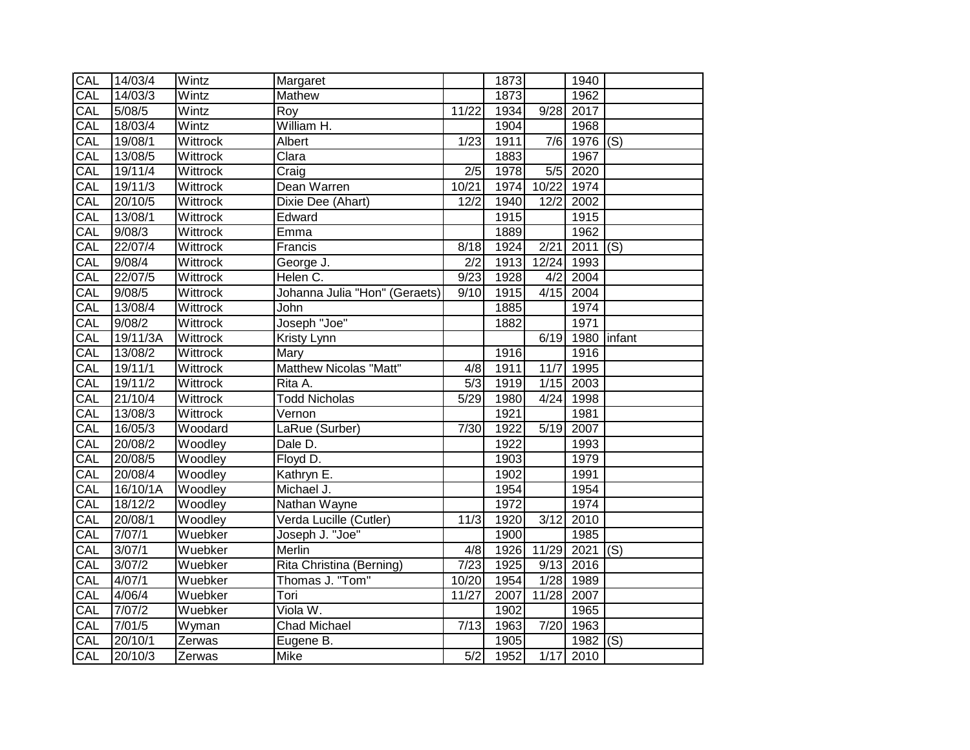| CAL | 14/03/4  | Wintz    | Margaret                      |                  | 1873 |       | 1940       |                          |
|-----|----------|----------|-------------------------------|------------------|------|-------|------------|--------------------------|
| CAL | 14/03/3  | Wintz    | Mathew                        |                  | 1873 |       | 1962       |                          |
| CAL | 5/08/5   | Wintz    | Roy                           | 11/22            | 1934 | 9/28  | 2017       |                          |
| CAL | 18/03/4  | Wintz    | William H.                    |                  | 1904 |       | 1968       |                          |
| CAL | 19/08/1  | Wittrock | Albert                        | 1/23             | 1911 | 7/6   | $1976$ (S) |                          |
| CAL | 13/08/5  | Wittrock | Clara                         |                  | 1883 |       | 1967       |                          |
| CAL | 19/11/4  | Wittrock | Craig                         | $\overline{2/5}$ | 1978 | 5/5   | 2020       |                          |
| CAL | 19/11/3  | Wittrock | Dean Warren                   | 10/21            | 1974 | 10/22 | 1974       |                          |
| CAL | 20/10/5  | Wittrock | Dixie Dee (Ahart)             | 12/2             | 1940 | 12/2  | 2002       |                          |
| CAL | 13/08/1  | Wittrock | Edward                        |                  | 1915 |       | 1915       |                          |
| CAL | 9/08/3   | Wittrock | Emma                          |                  | 1889 |       | 1962       |                          |
| CAL | 22/07/4  | Wittrock | Francis                       | 8/18             | 1924 | 2/21  | 2011       | $\mathsf{I}(\mathsf{S})$ |
| CAL | 9/08/4   | Wittrock | George J.                     | 2/2              | 1913 | 12/24 | 1993       |                          |
| CAL | 22/07/5  | Wittrock | Helen C.                      | 9/23             | 1928 | 4/2   | 2004       |                          |
| CAL | 9/08/5   | Wittrock | Johanna Julia "Hon" (Geraets) | 9/10             | 1915 | 4/15  | 2004       |                          |
| CAL | 13/08/4  | Wittrock | John                          |                  | 1885 |       | 1974       |                          |
| CAL | 9/08/2   | Wittrock | Joseph "Joe"                  |                  | 1882 |       | 1971       |                          |
| CAL | 19/11/3A | Wittrock | <b>Kristy Lynn</b>            |                  |      | 6/19  | 1980       | linfant                  |
| CAL | 13/08/2  | Wittrock | <b>Mary</b>                   |                  | 1916 |       | 1916       |                          |
| CAL | 19/11/1  | Wittrock | Matthew Nicolas "Matt"        | $\overline{4/8}$ | 1911 | 11/7  | 1995       |                          |
| CAL | 19/11/2  | Wittrock | Rita A.                       | 5/3              | 1919 | 1/15  | 2003       |                          |
| CAL | 21/10/4  | Wittrock | <b>Todd Nicholas</b>          | 5/29             | 1980 | 4/24  | 1998       |                          |
| CAL | 13/08/3  | Wittrock | Vernon                        |                  | 1921 |       | 1981       |                          |
| CAL | 16/05/3  | Woodard  | LaRue (Surber)                | 7/30             | 1922 | 5/19  | 2007       |                          |
| CAL | 20/08/2  | Woodley  | Dale D.                       |                  | 1922 |       | 1993       |                          |
| CAL | 20/08/5  | Woodley  | Floyd D.                      |                  | 1903 |       | 1979       |                          |
| CAL | 20/08/4  | Woodley  | Kathryn E.                    |                  | 1902 |       | 1991       |                          |
| CAL | 16/10/1A | Woodley  | Michael J.                    |                  | 1954 |       | 1954       |                          |
| CAL | 18/12/2  | Woodley  | Nathan Wayne                  |                  | 1972 |       | 1974       |                          |
| CAL | 20/08/1  | Woodley  | Verda Lucille (Cutler)        | 11/3             | 1920 | 3/12  | 2010       |                          |
| CAL | 7/07/1   | Wuebker  | Joseph J. "Joe"               |                  | 1900 |       | 1985       |                          |
| CAL | 3/07/1   | Wuebker  | Merlin                        | 4/8              | 1926 | 11/29 | $2021$ (S) |                          |
| CAL | 3/07/2   | Wuebker  | Rita Christina (Berning)      | 7/23             | 1925 | 9/13  | 2016       |                          |
| CAL | 4/07/1   | Wuebker  | Thomas J. "Tom"               | 10/20            | 1954 | 1/28  | 1989       |                          |
| CAL | 4/06/4   | Wuebker  | Tori                          | 11/27            | 2007 | 11/28 | 2007       |                          |
| CAL | 7/07/2   | Wuebker  | Viola W.                      |                  | 1902 |       | 1965       |                          |
| CAL | 7/01/5   | Wyman    | <b>Chad Michael</b>           | 7/13             | 1963 | 7/20  | 1963       |                          |
| CAL | 20/10/1  | Zerwas   | Eugene B.                     |                  | 1905 |       | 1982       | (S)                      |
| CAL | 20/10/3  | Zerwas   | Mike                          | 5/2              | 1952 |       | 1/17 2010  |                          |